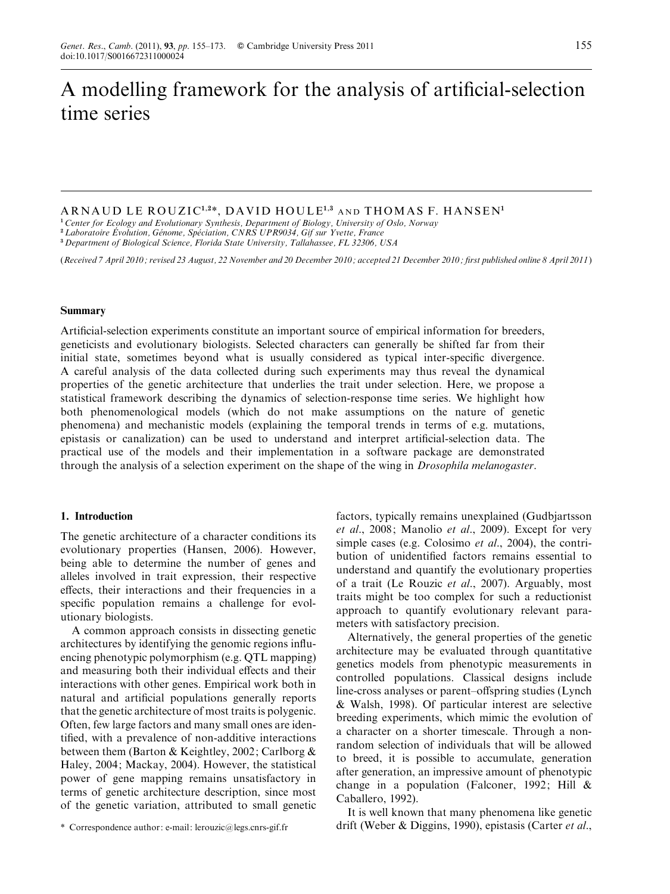ARNAUD LE ROUZIC<sup>1,2\*</sup>, DAVID HOULE<sup>1,3</sup> and THOMAS F. HANSEN<sup>1</sup>

<sup>1</sup> Center for Ecology and Evolutionary Synthesis, Department of Biology, University of Oslo, Norway

<sup>2</sup> Laboratoire Évolution, Génome, Spéciation, CNRS UPR9034, Gif sur Yvette, France

<sup>3</sup> Department of Biological Science, Florida State University, Tallahassee, FL 32306, USA

(Received 7 April 2010 ; revised 23 August, 22 November and 20 December 2010 ; accepted 21 December 2010 ; first published online 8 April 2011)

#### Summary

Artificial-selection experiments constitute an important source of empirical information for breeders, geneticists and evolutionary biologists. Selected characters can generally be shifted far from their initial state, sometimes beyond what is usually considered as typical inter-specific divergence. A careful analysis of the data collected during such experiments may thus reveal the dynamical properties of the genetic architecture that underlies the trait under selection. Here, we propose a statistical framework describing the dynamics of selection-response time series. We highlight how both phenomenological models (which do not make assumptions on the nature of genetic phenomena) and mechanistic models (explaining the temporal trends in terms of e.g. mutations, epistasis or canalization) can be used to understand and interpret artificial-selection data. The practical use of the models and their implementation in a software package are demonstrated through the analysis of a selection experiment on the shape of the wing in Drosophila melanogaster.

## 1. Introduction

The genetic architecture of a character conditions its evolutionary properties (Hansen, 2006). However, being able to determine the number of genes and alleles involved in trait expression, their respective effects, their interactions and their frequencies in a specific population remains a challenge for evolutionary biologists.

A common approach consists in dissecting genetic architectures by identifying the genomic regions influencing phenotypic polymorphism (e.g. QTL mapping) and measuring both their individual effects and their interactions with other genes. Empirical work both in natural and artificial populations generally reports that the genetic architecture of most traits is polygenic. Often, few large factors and many small ones are identified, with a prevalence of non-additive interactions between them (Barton & Keightley, 2002; Carlborg & Haley, 2004; Mackay, 2004). However, the statistical power of gene mapping remains unsatisfactory in terms of genetic architecture description, since most of the genetic variation, attributed to small genetic

factors, typically remains unexplained (Gudbjartsson et al., 2008; Manolio et al., 2009). Except for very simple cases (e.g. Colosimo *et al.*, 2004), the contribution of unidentified factors remains essential to understand and quantify the evolutionary properties of a trait (Le Rouzic et al., 2007). Arguably, most traits might be too complex for such a reductionist approach to quantify evolutionary relevant parameters with satisfactory precision.

Alternatively, the general properties of the genetic architecture may be evaluated through quantitative genetics models from phenotypic measurements in controlled populations. Classical designs include line-cross analyses or parent–offspring studies (Lynch & Walsh, 1998). Of particular interest are selective breeding experiments, which mimic the evolution of a character on a shorter timescale. Through a nonrandom selection of individuals that will be allowed to breed, it is possible to accumulate, generation after generation, an impressive amount of phenotypic change in a population (Falconer, 1992; Hill & Caballero, 1992).

It is well known that many phenomena like genetic \* Correspondence author: e-mail: lerouzic@legs.cnrs-gif.fr drift (Weber & Diggins, 1990), epistasis (Carter et al.,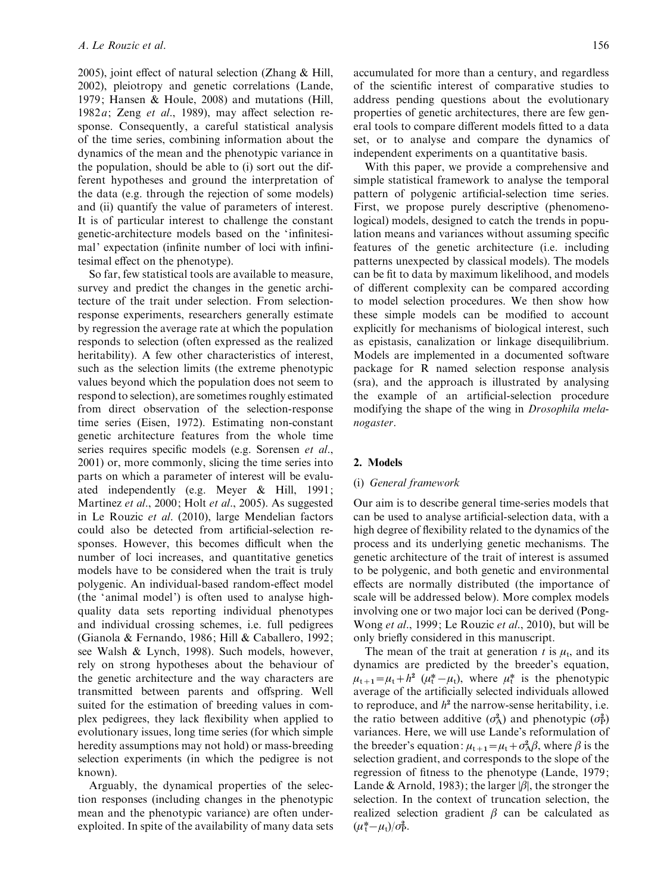2005), joint effect of natural selection (Zhang & Hill, 2002), pleiotropy and genetic correlations (Lande, 1979; Hansen & Houle, 2008) and mutations (Hill, 1982 $a$ ; Zeng et al., 1989), may affect selection response. Consequently, a careful statistical analysis of the time series, combining information about the dynamics of the mean and the phenotypic variance in the population, should be able to (i) sort out the different hypotheses and ground the interpretation of the data (e.g. through the rejection of some models) and (ii) quantify the value of parameters of interest. It is of particular interest to challenge the constant genetic-architecture models based on the 'infinitesimal' expectation (infinite number of loci with infinitesimal effect on the phenotype).

So far, few statistical tools are available to measure, survey and predict the changes in the genetic architecture of the trait under selection. From selectionresponse experiments, researchers generally estimate by regression the average rate at which the population responds to selection (often expressed as the realized heritability). A few other characteristics of interest, such as the selection limits (the extreme phenotypic values beyond which the population does not seem to respond to selection), are sometimes roughly estimated from direct observation of the selection-response time series (Eisen, 1972). Estimating non-constant genetic architecture features from the whole time series requires specific models (e.g. Sorensen et al., 2001) or, more commonly, slicing the time series into parts on which a parameter of interest will be evaluated independently (e.g. Meyer & Hill, 1991; Martinez et al., 2000; Holt et al., 2005). As suggested in Le Rouzic et al. (2010), large Mendelian factors could also be detected from artificial-selection responses. However, this becomes difficult when the number of loci increases, and quantitative genetics models have to be considered when the trait is truly polygenic. An individual-based random-effect model (the 'animal model') is often used to analyse highquality data sets reporting individual phenotypes and individual crossing schemes, i.e. full pedigrees (Gianola & Fernando, 1986; Hill & Caballero, 1992; see Walsh & Lynch, 1998). Such models, however, rely on strong hypotheses about the behaviour of the genetic architecture and the way characters are transmitted between parents and offspring. Well suited for the estimation of breeding values in complex pedigrees, they lack flexibility when applied to evolutionary issues, long time series (for which simple heredity assumptions may not hold) or mass-breeding selection experiments (in which the pedigree is not known).

Arguably, the dynamical properties of the selection responses (including changes in the phenotypic mean and the phenotypic variance) are often underexploited. In spite of the availability of many data sets accumulated for more than a century, and regardless of the scientific interest of comparative studies to address pending questions about the evolutionary properties of genetic architectures, there are few general tools to compare different models fitted to a data set, or to analyse and compare the dynamics of independent experiments on a quantitative basis.

With this paper, we provide a comprehensive and simple statistical framework to analyse the temporal pattern of polygenic artificial-selection time series. First, we propose purely descriptive (phenomenological) models, designed to catch the trends in population means and variances without assuming specific features of the genetic architecture (i.e. including patterns unexpected by classical models). The models can be fit to data by maximum likelihood, and models of different complexity can be compared according to model selection procedures. We then show how these simple models can be modified to account explicitly for mechanisms of biological interest, such as epistasis, canalization or linkage disequilibrium. Models are implemented in a documented software package for R named selection response analysis (sra), and the approach is illustrated by analysing the example of an artificial-selection procedure modifying the shape of the wing in Drosophila melanogaster.

### 2. Models

# (i) General framework

Our aim is to describe general time-series models that can be used to analyse artificial-selection data, with a high degree of flexibility related to the dynamics of the process and its underlying genetic mechanisms. The genetic architecture of the trait of interest is assumed to be polygenic, and both genetic and environmental effects are normally distributed (the importance of scale will be addressed below). More complex models involving one or two major loci can be derived (Pong-Wong et al., 1999; Le Rouzic et al., 2010), but will be only briefly considered in this manuscript.

The mean of the trait at generation t is  $\mu_t$ , and its dynamics are predicted by the breeder's equation,  $\mu_{t+1} = \mu_t + h^2$  ( $\mu_t^* - \mu_t$ ), where  $\mu_t^*$  is the phenotypic average of the artificially selected individuals allowed to reproduce, and  $h^2$  the narrow-sense heritability, i.e. the ratio between additive  $(\sigma_A^2)$  and phenotypic  $(\sigma_P^2)$ variances. Here, we will use Lande's reformulation of the breeder's equation:  $\mu_{t+1} = \mu_t + \sigma_A^2 \beta$ , where  $\beta$  is the selection gradient, and corresponds to the slope of the regression of fitness to the phenotype (Lande, 1979; Lande & Arnold, 1983); the larger  $|\beta|$ , the stronger the selection. In the context of truncation selection, the realized selection gradient  $\beta$  can be calculated as  $(\mu_t^* - \mu_t)/\sigma_{\rm P}^2$ .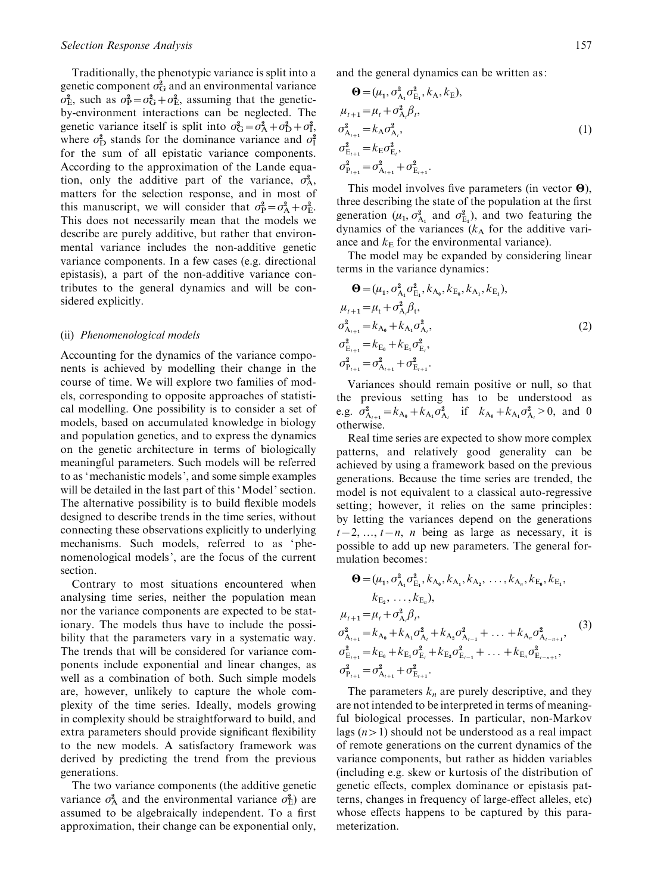Traditionally, the phenotypic variance is split into a genetic component  $\sigma_G^2$  and an environmental variance  $\sigma_{\rm E}^2$ , such as  $\sigma_{\rm P}^2 = \sigma_{\rm G}^2 + \sigma_{\rm E}^2$ , assuming that the geneticby-environment interactions can be neglected. The genetic variance itself is split into  $\sigma_G^2 = \sigma_A^2 + \sigma_D^2 + \sigma_I^2$ , where  $\sigma_{\rm D}^2$  stands for the dominance variance and  $\sigma_{\rm I}^2$ for the sum of all epistatic variance components. According to the approximation of the Lande equation, only the additive part of the variance,  $\sigma_A^2$ , matters for the selection response, and in most of this manuscript, we will consider that  $\sigma_{\rm P}^2 = \sigma_{\rm A}^2 + \sigma_{\rm E}^2$ . This does not necessarily mean that the models we describe are purely additive, but rather that environmental variance includes the non-additive genetic variance components. In a few cases (e.g. directional epistasis), a part of the non-additive variance contributes to the general dynamics and will be considered explicitly.

### (ii) Phenomenological models

Accounting for the dynamics of the variance components is achieved by modelling their change in the course of time. We will explore two families of models, corresponding to opposite approaches of statistical modelling. One possibility is to consider a set of models, based on accumulated knowledge in biology and population genetics, and to express the dynamics on the genetic architecture in terms of biologically meaningful parameters. Such models will be referred to as 'mechanistic models', and some simple examples will be detailed in the last part of this 'Model' section. The alternative possibility is to build flexible models designed to describe trends in the time series, without connecting these observations explicitly to underlying mechanisms. Such models, referred to as 'phenomenological models', are the focus of the current section.

Contrary to most situations encountered when analysing time series, neither the population mean nor the variance components are expected to be stationary. The models thus have to include the possibility that the parameters vary in a systematic way. The trends that will be considered for variance components include exponential and linear changes, as well as a combination of both. Such simple models are, however, unlikely to capture the whole complexity of the time series. Ideally, models growing in complexity should be straightforward to build, and extra parameters should provide significant flexibility to the new models. A satisfactory framework was derived by predicting the trend from the previous generations.

The two variance components (the additive genetic variance  $\sigma_A^2$  and the environmental variance  $\sigma_E^2$ ) are assumed to be algebraically independent. To a first approximation, their change can be exponential only, and the general dynamics can be written as:

$$
\mathbf{\Theta} = (\mu_1, \sigma_{A_1}^2 \sigma_{E_1}^2, k_A, k_E),
$$
  
\n
$$
\mu_{t+1} = \mu_t + \sigma_{A_t}^2 \beta_t,
$$
  
\n
$$
\sigma_{A_{t+1}}^2 = k_A \sigma_{A_t}^2,
$$
  
\n
$$
\sigma_{E_{t+1}}^2 = k_E \sigma_{E_t}^2,
$$
  
\n
$$
\sigma_{P_{t+1}}^2 = \sigma_{A_{t+1}}^2 + \sigma_{E_{t+1}}^2.
$$
\n(1)

This model involves five parameters (in vector  $\Theta$ ), three describing the state of the population at the first generation ( $\mu_1$ ,  $\sigma_{A_1}^2$  and  $\sigma_{E_1}^2$ ), and two featuring the dynamics of the variances  $(k_A)$  for the additive variance and  $k<sub>E</sub>$  for the environmental variance).

The model may be expanded by considering linear terms in the variance dynamics:

$$
\begin{aligned}\n\mathbf{\Theta} &= (\mu_1, \sigma_{A_1}^2 \sigma_{E_1}^2, k_{A_0}, k_{E_0}, k_{A_1}, k_{E_1}), \\
\mu_{t+1} &= \mu_t + \sigma_{A_t}^2 \beta_t, \\
\sigma_{A_{t+1}}^2 &= k_{A_0} + k_{A_1} \sigma_{A_t}^2, \\
\sigma_{E_{t+1}}^2 &= k_{E_0} + k_{E_1} \sigma_{E_t}^2, \\
\sigma_{P_{t+1}}^2 &= \sigma_{A_{t+1}}^2 + \sigma_{E_{t+1}}^2.\n\end{aligned} \tag{2}
$$

Variances should remain positive or null, so that the previous setting has to be understood as e.g.  $\sigma_{A_{t+1}}^2 = k_{A_0} + k_{A_1} \sigma_{A_t}^2$  if  $k_{A_0} + k_{A_1} \sigma_{A_t}^2 > 0$ , and 0 otherwise.

Real time series are expected to show more complex patterns, and relatively good generality can be achieved by using a framework based on the previous generations. Because the time series are trended, the model is not equivalent to a classical auto-regressive setting; however, it relies on the same principles: by letting the variances depend on the generations  $t-2, ..., t-n$ , *n* being as large as necessary, it is possible to add up new parameters. The general formulation becomes:

$$
\mathbf{\Theta} = (\mu_1, \sigma_{A_1}^2 \sigma_{E_1}^2, k_{A_0}, k_{A_1}, k_{A_2}, \dots, k_{A_n}, k_{E_0}, k_{E_1},
$$
  
\n $k_{E_2}, \dots, k_{E_n}),$   
\n $\mu_{t+1} = \mu_t + \sigma_{A_t}^2 \beta_t,$   
\n $\sigma_{A_{t+1}}^2 = k_{A_0} + k_{A_1} \sigma_{A_t}^2 + k_{A_2} \sigma_{A_{t-1}}^2 + \dots + k_{A_n} \sigma_{A_{t-n+1}}^2,$   
\n $\sigma_{E_{t+1}}^2 = k_{E_0} + k_{E_1} \sigma_{E_t}^2 + k_{E_2} \sigma_{E_{t-1}}^2 + \dots + k_{E_n} \sigma_{E_{t-n+1}}^2,$   
\n $\sigma_{P_{t+1}}^2 = \sigma_{A_{t+1}}^2 + \sigma_{E_{t+1}}^2.$  (3)

The parameters  $k_n$  are purely descriptive, and they are not intended to be interpreted in terms of meaningful biological processes. In particular, non-Markov lags  $(n>1)$  should not be understood as a real impact of remote generations on the current dynamics of the variance components, but rather as hidden variables (including e.g. skew or kurtosis of the distribution of genetic effects, complex dominance or epistasis patterns, changes in frequency of large-effect alleles, etc) whose effects happens to be captured by this parameterization.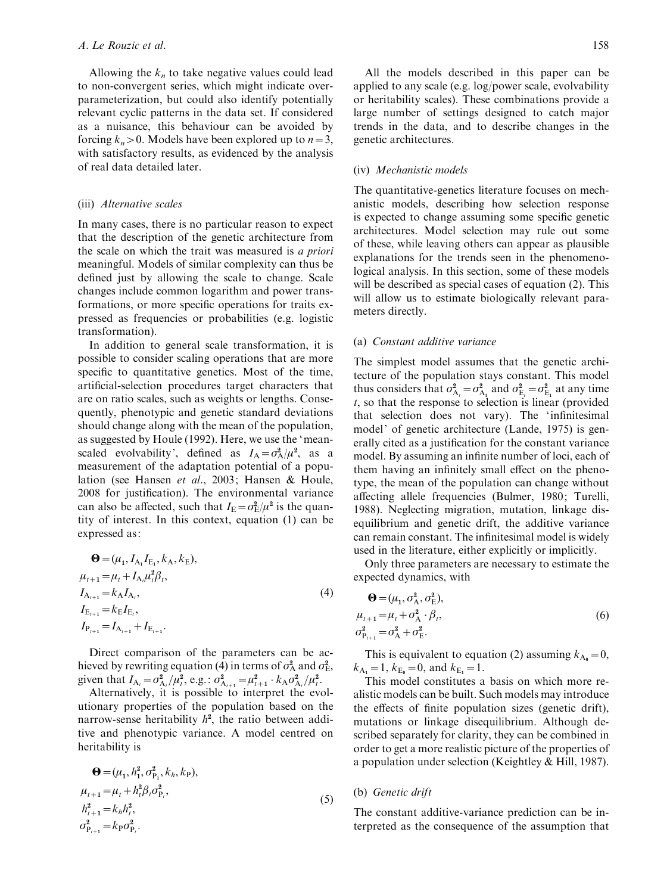Allowing the  $k_n$  to take negative values could lead to non-convergent series, which might indicate overparameterization, but could also identify potentially relevant cyclic patterns in the data set. If considered as a nuisance, this behaviour can be avoided by forcing  $k_n>0$ . Models have been explored up to  $n=3$ , with satisfactory results, as evidenced by the analysis of real data detailed later.

#### (iii) Alternative scales

In many cases, there is no particular reason to expect that the description of the genetic architecture from the scale on which the trait was measured is a priori meaningful. Models of similar complexity can thus be defined just by allowing the scale to change. Scale changes include common logarithm and power transformations, or more specific operations for traits expressed as frequencies or probabilities (e.g. logistic transformation).

In addition to general scale transformation, it is possible to consider scaling operations that are more specific to quantitative genetics. Most of the time, artificial-selection procedures target characters that are on ratio scales, such as weights or lengths. Consequently, phenotypic and genetic standard deviations should change along with the mean of the population, as suggested by Houle (1992). Here, we use the 'meanscaled evolvability', defined as  $I_A = \sigma_A^2 / \mu^2$ , as a measurement of the adaptation potential of a population (see Hansen et al., 2003; Hansen & Houle, 2008 for justification). The environmental variance can also be affected, such that  $I_{\rm E} = \sigma_{\rm E}^2 / \mu^2$  is the quantity of interest. In this context, equation (1) can be expressed as:

$$
\begin{aligned}\n\mathbf{\Theta} &= (\mu_1, I_{\text{A}_1} I_{\text{E}_1}, k_{\text{A}}, k_{\text{E}}), \\
\mu_{t+1} &= \mu_t + I_{\text{A}_t} \mu_t^2 \beta_t, \\
I_{\text{A}_{t+1}} &= k_{\text{A}} I_{\text{A}_t}, \\
I_{\text{E}_{t+1}} &= k_{\text{E}} I_{\text{E}_t}, \\
I_{\text{P}_{t+1}} &= I_{\text{A}_{t+1}} + I_{\text{E}_{t+1}}.\n\end{aligned} \tag{4}
$$

Direct comparison of the parameters can be achieved by rewriting equation (4) in terms of  $\sigma_A^2$  and  $\sigma_E^2$ , given that  $I_{A_t} = \sigma_{A_t}^2 / \mu_t^2$ , e.g.:  $\sigma_{A_{t+1}}^2 = \mu_{t+1}^2 \cdot k_A \sigma_{A_t}^2 / \mu_t^2$ .

Alternatively, it is possible to interpret the evolutionary properties of the population based on the narrow-sense heritability  $h^2$ , the ratio between additive and phenotypic variance. A model centred on heritability is

$$
\mathbf{\Theta} = (\mu_1, h_1^2, \sigma_{P_1}^2, k_h, k_P),
$$
  
\n
$$
\mu_{t+1} = \mu_t + h_t^2 \beta_t \sigma_{P_t}^2,
$$
  
\n
$$
h_{t+1}^2 = k_h h_t^2,
$$
  
\n
$$
\sigma_{P_{t+1}}^2 = k_P \sigma_{P_t}^2.
$$
\n(5)

All the models described in this paper can be applied to any scale (e.g. log/power scale, evolvability or heritability scales). These combinations provide a large number of settings designed to catch major trends in the data, and to describe changes in the genetic architectures.

## (iv) Mechanistic models

The quantitative-genetics literature focuses on mechanistic models, describing how selection response is expected to change assuming some specific genetic architectures. Model selection may rule out some of these, while leaving others can appear as plausible explanations for the trends seen in the phenomenological analysis. In this section, some of these models will be described as special cases of equation (2). This will allow us to estimate biologically relevant parameters directly.

## (a) Constant additive variance

The simplest model assumes that the genetic architecture of the population stays constant. This model thus considers that  $\sigma_{A_t}^2 = \sigma_{A_1}^2$  and  $\sigma_{E_t}^2 = \sigma_{E_1}^2$  at any time t, so that the response to selection is linear (provided that selection does not vary). The 'infinitesimal model' of genetic architecture (Lande, 1975) is generally cited as a justification for the constant variance model. By assuming an infinite number of loci, each of them having an infinitely small effect on the phenotype, the mean of the population can change without affecting allele frequencies (Bulmer, 1980; Turelli, 1988). Neglecting migration, mutation, linkage disequilibrium and genetic drift, the additive variance can remain constant. The infinitesimal model is widely used in the literature, either explicitly or implicitly.

Only three parameters are necessary to estimate the expected dynamics, with

$$
\mathbf{\Theta} = (\mu_1, \sigma_A^2, \sigma_E^2), \n\mu_{t+1} = \mu_t + \sigma_A^2 \cdot \beta_t, \n\sigma_{P_{t+1}}^2 = \sigma_A^2 + \sigma_E^2.
$$
\n(6)

This is equivalent to equation (2) assuming  $k_{A_0}=0$ ,  $k_{A_1}=1$ ,  $k_{E_0}=0$ , and  $k_{E_1}=1$ .

This model constitutes a basis on which more realistic models can be built. Such models may introduce the effects of finite population sizes (genetic drift), mutations or linkage disequilibrium. Although described separately for clarity, they can be combined in order to get a more realistic picture of the properties of a population under selection (Keightley & Hill, 1987).

#### (b) Genetic drift

The constant additive-variance prediction can be interpreted as the consequence of the assumption that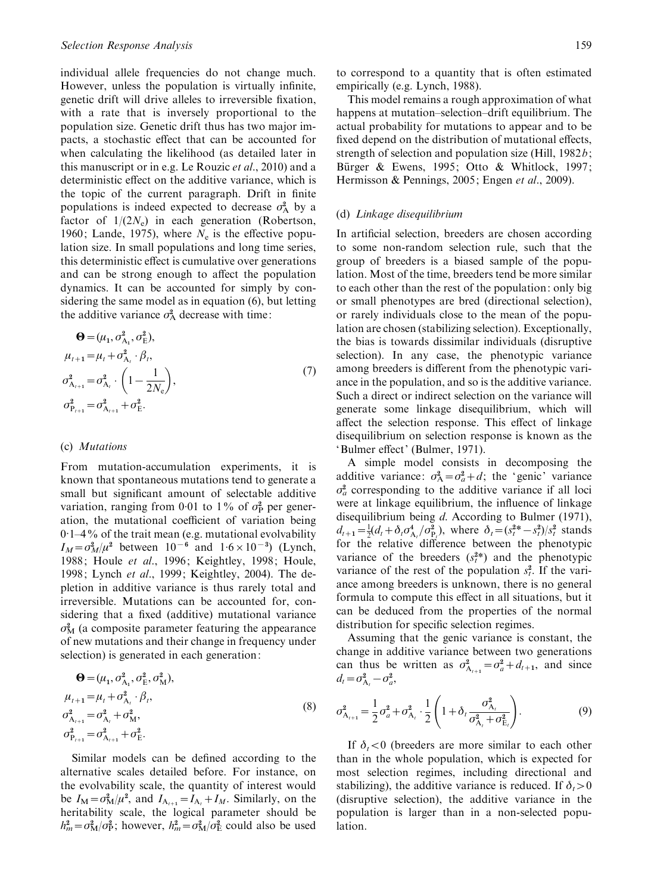individual allele frequencies do not change much. However, unless the population is virtually infinite, genetic drift will drive alleles to irreversible fixation, with a rate that is inversely proportional to the population size. Genetic drift thus has two major impacts, a stochastic effect that can be accounted for when calculating the likelihood (as detailed later in this manuscript or in e.g. Le Rouzic et al., 2010) and a deterministic effect on the additive variance, which is the topic of the current paragraph. Drift in finite populations is indeed expected to decrease  $\sigma_A^2$  by a factor of  $1/(2N_e)$  in each generation (Robertson, 1960; Lande, 1975), where  $N_e$  is the effective population size. In small populations and long time series, this deterministic effect is cumulative over generations and can be strong enough to affect the population dynamics. It can be accounted for simply by considering the same model as in equation (6), but letting the additive variance  $\sigma_A^2$  decrease with time:

$$
\begin{aligned}\n\mathbf{\Theta} &= (\mu_1, \sigma_{A_1}^2, \sigma_E^2), \\
\mu_{t+1} &= \mu_t + \sigma_{A_t}^2 \cdot \beta_t, \\
\sigma_{A_{t+1}}^2 &= \sigma_{A_t}^2 \cdot \left(1 - \frac{1}{2N_e}\right), \\
\sigma_{P_{t+1}}^2 &= \sigma_{A_{t+1}}^2 + \sigma_E^2.\n\end{aligned} \tag{7}
$$

#### (c) Mutations

From mutation-accumulation experiments, it is known that spontaneous mutations tend to generate a small but significant amount of selectable additive variation, ranging from 0.01 to 1% of  $\sigma_P^2$  per generation, the mutational coefficient of variation being  $0.1-4\%$  of the trait mean (e.g. mutational evolvability  $I_M = \sigma_M^2 / \mu^2$  between  $10^{-6}$  and  $1.6 \times 10^{-3}$ ) (Lynch, 1988; Houle et al., 1996; Keightley, 1998; Houle, 1998; Lynch et al., 1999; Keightley, 2004). The depletion in additive variance is thus rarely total and irreversible. Mutations can be accounted for, considering that a fixed (additive) mutational variance  $\sigma_M^2$  (a composite parameter featuring the appearance of new mutations and their change in frequency under selection) is generated in each generation:

$$
\mathbf{\Theta} = (\mu_1, \sigma_{A_1}^2, \sigma_E^2, \sigma_M^2),
$$
  
\n
$$
\mu_{t+1} = \mu_t + \sigma_{A_t}^2 \cdot \beta_t,
$$
  
\n
$$
\sigma_{A_{t+1}}^2 = \sigma_{A_t}^2 + \sigma_M^2,
$$
  
\n
$$
\sigma_{P_{t+1}}^2 = \sigma_{A_{t+1}}^2 + \sigma_E^2.
$$
\n(8)

Similar models can be defined according to the alternative scales detailed before. For instance, on the evolvability scale, the quantity of interest would be  $I_M = \sigma_M^2 / \mu^2$ , and  $I_{A_{t+1}} = I_{A_t} + I_M$ . Similarly, on the heritability scale, the logical parameter should be  $h_m^2 = \sigma_M^2 / \sigma_P^2$ ; however,  $h_m^2 = \sigma_M^2 / \sigma_E^2$  could also be used

to correspond to a quantity that is often estimated empirically (e.g. Lynch, 1988).

This model remains a rough approximation of what happens at mutation–selection–drift equilibrium. The actual probability for mutations to appear and to be fixed depend on the distribution of mutational effects, strength of selection and population size (Hill, 1982b; Bürger & Ewens, 1995; Otto & Whitlock, 1997; Hermisson & Pennings, 2005; Engen et al., 2009).

## (d) Linkage disequilibrium

In artificial selection, breeders are chosen according to some non-random selection rule, such that the group of breeders is a biased sample of the population. Most of the time, breeders tend be more similar to each other than the rest of the population: only big or small phenotypes are bred (directional selection), or rarely individuals close to the mean of the population are chosen (stabilizing selection). Exceptionally, the bias is towards dissimilar individuals (disruptive selection). In any case, the phenotypic variance among breeders is different from the phenotypic variance in the population, and so is the additive variance. Such a direct or indirect selection on the variance will generate some linkage disequilibrium, which will affect the selection response. This effect of linkage disequilibrium on selection response is known as the 'Bulmer effect' (Bulmer, 1971).

A simple model consists in decomposing the additive variance:  $\sigma_A^2 = \sigma_a^2 + d$ ; the 'genic' variance  $\sigma_a^2$  corresponding to the additive variance if all loci were at linkage equilibrium, the influence of linkage disequilibrium being d. According to Bulmer (1971),  $d_{t+1} = \frac{1}{2}(d_t + \delta_t \sigma_{A_t}^4 / \sigma_{P_t}^2)$ , where  $\delta_t = (s_t^{2*} - s_t^2) / s_t^2$  stands for the relative difference between the phenotypic variance of the breeders  $(s<sub>t</sub><sup>2</sup>)$  and the phenotypic variance of the rest of the population  $s_t^2$ . If the variance among breeders is unknown, there is no general formula to compute this effect in all situations, but it can be deduced from the properties of the normal distribution for specific selection regimes.

Assuming that the genic variance is constant, the change in additive variance between two generations can thus be written as  $\sigma_{A_{t+1}}^2 = \sigma_a^2 + d_{t+1}$ , and since  $d_t = \sigma_{A_t}^2 - \sigma_a^2$ ,

$$
\sigma_{A_{t+1}}^2 = \frac{1}{2}\sigma_a^2 + \sigma_{A_t}^2 \cdot \frac{1}{2} \left( 1 + \delta_t \frac{\sigma_{A_t}^2}{\sigma_{A_t}^2 + \sigma_{E_t}^2} \right). \tag{9}
$$

If  $\delta_t < 0$  (breeders are more similar to each other than in the whole population, which is expected for most selection regimes, including directional and stabilizing), the additive variance is reduced. If  $\delta_t > 0$ (disruptive selection), the additive variance in the population is larger than in a non-selected population.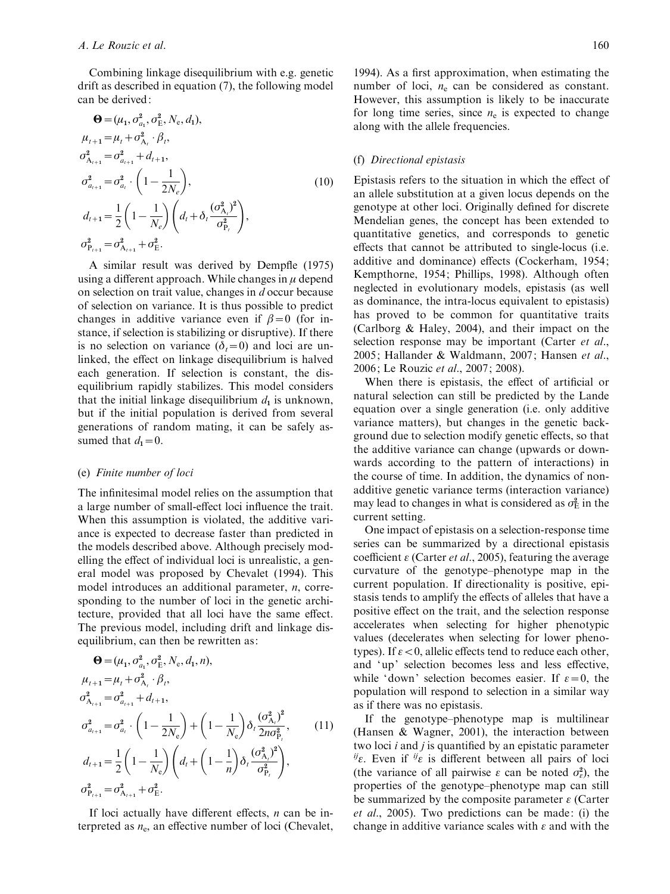Combining linkage disequilibrium with e.g. genetic drift as described in equation (7), the following model can be derived:

$$
\begin{aligned}\n\mathbf{\Theta} &= (\mu_1, \sigma_{a_1}^2, \sigma_{E}^2, N_{e}, d_1), \\
\mu_{t+1} &= \mu_t + \sigma_{A_t}^2 \cdot \beta_t, \\
\sigma_{A_{t+1}}^2 &= \sigma_{a_{t+1}}^2 + d_{t+1}, \\
\sigma_{a_{t+1}}^2 &= \sigma_{a_t}^2 \cdot \left(1 - \frac{1}{2N_e}\right), \\
d_{t+1} &= \frac{1}{2} \left(1 - \frac{1}{N_e}\right) \left(d_t + \delta_t \frac{(\sigma_{A_t}^2)^2}{\sigma_{P_t}^2}\right), \\
\sigma_{P_{t+1}}^2 &= \sigma_{A_{t+1}}^2 + \sigma_{E}^2.\n\end{aligned} \tag{10}
$$

A similar result was derived by Dempfle (1975) using a different approach. While changes in  $\mu$  depend on selection on trait value, changes in d occur because of selection on variance. It is thus possible to predict changes in additive variance even if  $\beta=0$  (for instance, if selection is stabilizing or disruptive). If there is no selection on variance  $(\delta_t=0)$  and loci are unlinked, the effect on linkage disequilibrium is halved each generation. If selection is constant, the disequilibrium rapidly stabilizes. This model considers that the initial linkage disequilibrium  $d_1$  is unknown, but if the initial population is derived from several generations of random mating, it can be safely assumed that  $d_1=0$ .

### (e) Finite number of loci

The infinitesimal model relies on the assumption that a large number of small-effect loci influence the trait. When this assumption is violated, the additive variance is expected to decrease faster than predicted in the models described above. Although precisely modelling the effect of individual loci is unrealistic, a general model was proposed by Chevalet (1994). This model introduces an additional parameter, *n*, corresponding to the number of loci in the genetic architecture, provided that all loci have the same effect. The previous model, including drift and linkage disequilibrium, can then be rewritten as:

$$
\begin{aligned}\n\boldsymbol{\Theta} &= (\mu_1, \sigma_{a_1}^2, \sigma_{E}^2, N_{e}, d_1, n), \\
\mu_{t+1} &= \mu_t + \sigma_{A_t}^2 \cdot \beta_t, \\
\sigma_{A_{t+1}}^2 &= \sigma_{a_{t+1}}^2 + d_{t+1}, \\
\sigma_{a_{t+1}}^2 &= \sigma_{a_t}^2 \cdot \left(1 - \frac{1}{2N_e}\right) + \left(1 - \frac{1}{N_e}\right) \delta_t \frac{(\sigma_{A_t}^2)^2}{2n\sigma_{P_t}^2}, \\
d_{t+1} &= \frac{1}{2} \left(1 - \frac{1}{N_e}\right) \left(d_t + \left(1 - \frac{1}{n}\right) \delta_t \frac{(\sigma_{A_t}^2)^2}{\sigma_{P_t}^2}\right), \\
\sigma_{P_{t+1}}^2 &= \sigma_{A_{t+1}}^2 + \sigma_{E}^2.\n\end{aligned} \tag{11}
$$

If loci actually have different effects,  $n$  can be interpreted as  $n_e$ , an effective number of loci (Chevalet,

1994). As a first approximation, when estimating the number of loci,  $n_e$  can be considered as constant. However, this assumption is likely to be inaccurate for long time series, since  $n_e$  is expected to change along with the allele frequencies.

#### (f) Directional epistasis

Epistasis refers to the situation in which the effect of an allele substitution at a given locus depends on the genotype at other loci. Originally defined for discrete Mendelian genes, the concept has been extended to quantitative genetics, and corresponds to genetic effects that cannot be attributed to single-locus (i.e. additive and dominance) effects (Cockerham, 1954; Kempthorne, 1954; Phillips, 1998). Although often neglected in evolutionary models, epistasis (as well as dominance, the intra-locus equivalent to epistasis) has proved to be common for quantitative traits (Carlborg & Haley, 2004), and their impact on the selection response may be important (Carter *et al.*, 2005; Hallander & Waldmann, 2007; Hansen et al., 2006; Le Rouzic et al., 2007; 2008).

When there is epistasis, the effect of artificial or natural selection can still be predicted by the Lande equation over a single generation (i.e. only additive variance matters), but changes in the genetic background due to selection modify genetic effects, so that the additive variance can change (upwards or downwards according to the pattern of interactions) in the course of time. In addition, the dynamics of nonadditive genetic variance terms (interaction variance) may lead to changes in what is considered as  $\sigma_{\rm E}^{\rm a}$  in the current setting.

One impact of epistasis on a selection-response time series can be summarized by a directional epistasis coefficient  $\varepsilon$  (Carter *et al.*, 2005), featuring the average curvature of the genotype–phenotype map in the current population. If directionality is positive, epistasis tends to amplify the effects of alleles that have a positive effect on the trait, and the selection response accelerates when selecting for higher phenotypic values (decelerates when selecting for lower phenotypes). If  $\varepsilon$  < 0, allelic effects tend to reduce each other, and 'up' selection becomes less and less effective, while 'down' selection becomes easier. If  $\varepsilon = 0$ , the population will respond to selection in a similar way as if there was no epistasis.

If the genotype–phenotype map is multilinear (Hansen & Wagner, 2001), the interaction between two loci  $i$  and  $j$  is quantified by an epistatic parameter  $\ddot{y}_{\varepsilon}$ . Even if  $\ddot{y}_{\varepsilon}$  is different between all pairs of loci (the variance of all pairwise  $\varepsilon$  can be noted  $\sigma_{\varepsilon}^2$ ), the properties of the genotype–phenotype map can still be summarized by the composite parameter  $\varepsilon$  (Carter et al., 2005). Two predictions can be made: (i) the change in additive variance scales with  $\varepsilon$  and with the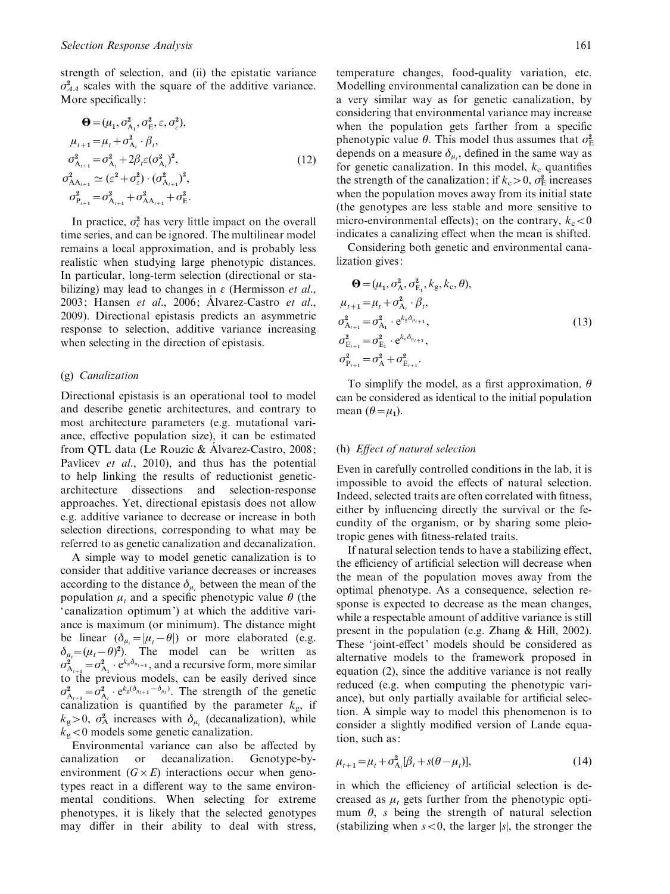strength of selection, and (ii) the epistatic variance  $\sigma_{AA}^2$  scales with the square of the additive variance. More specifically:

$$
\mathbf{\Theta} = (\mu_1, \sigma_{A_1}^2, \sigma_E^2, \varepsilon, \sigma_{\varepsilon}^2),
$$
  
\n
$$
\mu_{t+1} = \mu_t + \sigma_{A_t}^2 \cdot \beta_t,
$$
  
\n
$$
\sigma_{A_{t+1}}^2 = \sigma_{A_t}^2 + 2\beta_t \varepsilon (\sigma_{A_t}^2)^2,
$$
  
\n
$$
\sigma_{AA_{t+1}}^2 \simeq (\varepsilon^2 + \sigma_{\varepsilon}^2) \cdot (\sigma_{A_{t+1}}^2)^2,
$$
  
\n
$$
\sigma_{P_{t+1}}^2 = \sigma_{A_{t+1}}^2 + \sigma_{AA_{t+1}}^2 + \sigma_E^2.
$$
\n(12)

In practice,  $\sigma_{\varepsilon}^2$  has very little impact on the overall time series, and can be ignored. The multilinear model remains a local approximation, and is probably less realistic when studying large phenotypic distances. In particular, long-term selection (directional or stabilizing) may lead to changes in  $\varepsilon$  (Hermisson *et al.*, 2003; Hansen et al., 2006; Alvarez-Castro et al., 2009). Directional epistasis predicts an asymmetric response to selection, additive variance increasing when selecting in the direction of epistasis.

# (g) Canalization

Directional epistasis is an operational tool to model and describe genetic architectures, and contrary to most architecture parameters (e.g. mutational variance, effective population size), it can be estimated from OTL data (Le Rouzic & Alvarez-Castro, 2008; Pavlicev et al., 2010), and thus has the potential to help linking the results of reductionist geneticarchitecture dissections and selection-response approaches. Yet, directional epistasis does not allow e.g. additive variance to decrease or increase in both selection directions, corresponding to what may be referred to as genetic canalization and decanalization.

A simple way to model genetic canalization is to consider that additive variance decreases or increases according to the distance  $\delta_{\mu}$  between the mean of the population  $\mu_t$  and a specific phenotypic value  $\theta$  (the 'canalization optimum') at which the additive variance is maximum (or minimum). The distance might be linear  $(\delta_{\mu_t} = |\mu_t - \theta|)$  or more elaborated (e.g.  $\delta_{\mu} = (\mu_t - \theta)^2$ . The model can be written as  $\sigma_{A_{t+1}}^2 = \sigma_{A_1}^2 \cdot e^{k_g \delta_{\mu_{t+1}}}$ , and a recursive form, more similar to the previous models, can be easily derived since  $\sigma_{A_{t+1}}^2 = \sigma_{A_t}^2 \cdot e^{k_g(\delta_{\mu_{t+1}} - \delta_{\mu_t})}$ . The strength of the genetic canalization is quantified by the parameter  $k_{g}$ , if  $k_{\rm g}$  > 0,  $\sigma_{\rm A}^2$  increases with  $\delta_{\mu_t}$  (decanalization), while  $k_{\rm g}$  < 0 models some genetic canalization.

Environmental variance can also be affected by canalization or decanalization. Genotype-byenvironment  $(G \times E)$  interactions occur when genotypes react in a different way to the same environmental conditions. When selecting for extreme phenotypes, it is likely that the selected genotypes may differ in their ability to deal with stress,

temperature changes, food-quality variation, etc. Modelling environmental canalization can be done in a very similar way as for genetic canalization, by considering that environmental variance may increase when the population gets farther from a specific phenotypic value  $\theta$ . This model thus assumes that  $\sigma_{\rm E}^2$ depends on a measure  $\delta_{\mu_t}$ , defined in the same way as for genetic canalization. In this model,  $k_c$  quantifies the strength of the canalization; if  $k_c > 0$ ,  $\sigma_{\rm E}^2$  increases when the population moves away from its initial state (the genotypes are less stable and more sensitive to micro-environmental effects); on the contrary,  $k_c < 0$ indicates a canalizing effect when the mean is shifted.

Considering both genetic and environmental canalization gives:

$$
\begin{aligned}\n\mathbf{\Theta} &= (\mu_1, \sigma_A^2, \sigma_{E_1}^2, k_g, k_c, \theta), \\
\mu_{t+1} &= \mu_t + \sigma_{A_t}^2 \cdot \beta_t, \\
\sigma_{A_{t+1}}^2 &= \sigma_{A_1}^2 \cdot e^{k_g \delta_{\mu_{t+1}}}, \\
\sigma_{E_{t+1}}^2 &= \sigma_{E_1}^2 \cdot e^{k_c \delta_{\mu_{t+1}}}, \\
\sigma_{P_{t+1}}^2 &= \sigma_A^2 + \sigma_{E_{t+1}}^2.\n\end{aligned}\n\tag{13}
$$

To simplify the model, as a first approximation,  $\theta$ can be considered as identical to the initial population mean  $(\theta = \mu_1)$ .

## (h) Effect of natural selection

Even in carefully controlled conditions in the lab, it is impossible to avoid the effects of natural selection. Indeed, selected traits are often correlated with fitness, either by influencing directly the survival or the fecundity of the organism, or by sharing some pleiotropic genes with fitness-related traits.

If natural selection tends to have a stabilizing effect, the efficiency of artificial selection will decrease when the mean of the population moves away from the optimal phenotype. As a consequence, selection response is expected to decrease as the mean changes, while a respectable amount of additive variance is still present in the population (e.g. Zhang & Hill, 2002). These 'joint-effect' models should be considered as alternative models to the framework proposed in equation (2), since the additive variance is not really reduced (e.g. when computing the phenotypic variance), but only partially available for artificial selection. A simple way to model this phenomenon is to consider a slightly modified version of Lande equation, such as:

$$
\mu_{t+1} = \mu_t + \sigma_{A_t}^2 [\beta_t + s(\theta - \mu_t)],
$$
\n(14)

in which the efficiency of artificial selection is decreased as  $\mu_t$  gets further from the phenotypic optimum  $\theta$ , s being the strength of natural selection (stabilizing when  $s < 0$ , the larger |s|, the stronger the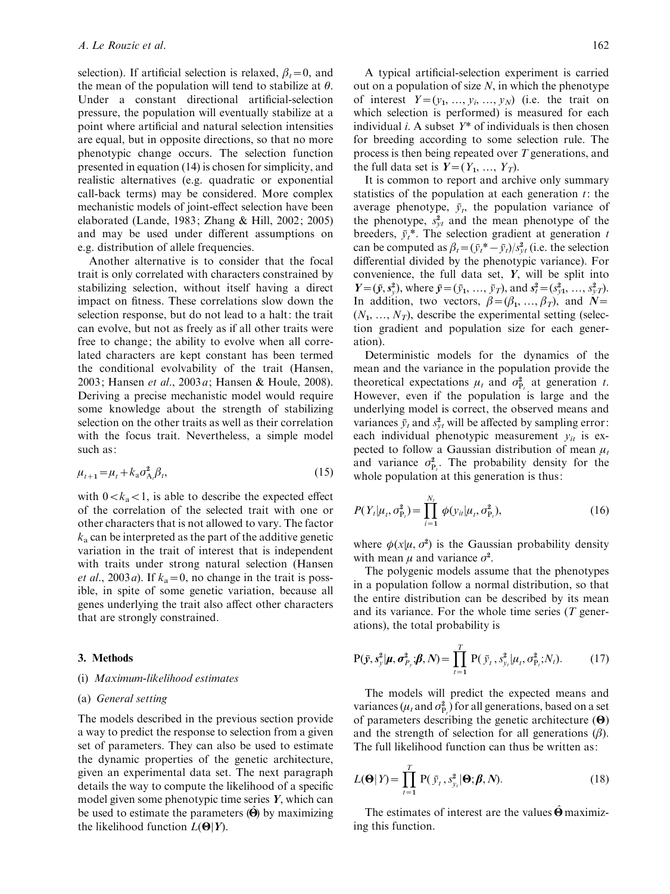selection). If artificial selection is relaxed,  $\beta_t=0$ , and the mean of the population will tend to stabilize at  $\theta$ . Under a constant directional artificial-selection pressure, the population will eventually stabilize at a point where artificial and natural selection intensities are equal, but in opposite directions, so that no more phenotypic change occurs. The selection function presented in equation (14) is chosen for simplicity, and realistic alternatives (e.g. quadratic or exponential call-back terms) may be considered. More complex mechanistic models of joint-effect selection have been elaborated (Lande, 1983; Zhang & Hill, 2002; 2005) and may be used under different assumptions on e.g. distribution of allele frequencies.

Another alternative is to consider that the focal trait is only correlated with characters constrained by stabilizing selection, without itself having a direct impact on fitness. These correlations slow down the selection response, but do not lead to a halt: the trait can evolve, but not as freely as if all other traits were free to change; the ability to evolve when all correlated characters are kept constant has been termed the conditional evolvability of the trait (Hansen, 2003; Hansen et al., 2003a; Hansen & Houle, 2008). Deriving a precise mechanistic model would require some knowledge about the strength of stabilizing selection on the other traits as well as their correlation with the focus trait. Nevertheless, a simple model such as:

$$
\mu_{t+1} = \mu_t + k_a \sigma_{A_t}^2 \beta_t,\tag{15}
$$

with  $0 < k_a < 1$ , is able to describe the expected effect of the correlation of the selected trait with one or other characters that is not allowed to vary. The factor  $k_a$  can be interpreted as the part of the additive genetic variation in the trait of interest that is independent with traits under strong natural selection (Hansen *et al.*, 2003*a*). If  $k_a = 0$ , no change in the trait is possible, in spite of some genetic variation, because all genes underlying the trait also affect other characters that are strongly constrained.

## 3. Methods

#### (i) Maximum-likelihood estimates

#### (a) General setting

The models described in the previous section provide a way to predict the response to selection from a given set of parameters. They can also be used to estimate the dynamic properties of the genetic architecture, given an experimental data set. The next paragraph details the way to compute the likelihood of a specific model given some phenotypic time series  $Y$ , which can be used to estimate the parameters  $(\Theta)$  by maximizing the likelihood function  $L(\Theta|Y)$ .

A typical artificial-selection experiment is carried out on a population of size  $N$ , in which the phenotype of interest  $Y=(y_1, ..., y_i, ..., y_N)$  (i.e. the trait on which selection is performed) is measured for each individual *i*. A subset  $Y^*$  of individuals is then chosen for breeding according to some selection rule. The process is then being repeated over T generations, and the full data set is  $Y=(Y_1, ..., Y_T)$ .

It is common to report and archive only summary statistics of the population at each generation  $t$ : the average phenotype,  $\bar{v}_t$ , the population variance of the phenotype,  $s_{yt}^2$  and the mean phenotype of the breeders,  $\bar{y}_t^*$ . The selection gradient at generation t can be computed as  $\beta_t = (\bar{y}_t^* - \bar{y}_t)/s_{yt}^2$  (i.e. the selection differential divided by the phenotypic variance). For convenience, the full data set,  $Y$ , will be split into  $Y = (\bar{y}, s_y^2)$ , where  $\bar{y} = (\bar{y}_1, \ldots, \bar{y}_T)$ , and  $s_t^2 = (s_{y1}^2, \ldots, s_y^2)$ . In addition, two vectors,  $\beta = (\beta_1, ..., \beta_T)$ , and N=  $(N_1, ..., N_T)$ , describe the experimental setting (selection gradient and population size for each generation).

Deterministic models for the dynamics of the mean and the variance in the population provide the theoretical expectations  $\mu_t$  and  $\sigma_{P_t}^2$  at generation t. However, even if the population is large and the underlying model is correct, the observed means and variances  $\bar{y}_t$  and  $s_{yt}^2$  will be affected by sampling error: each individual phenotypic measurement  $y_{it}$  is expected to follow a Gaussian distribution of mean  $\mu_t$ and variance  $\sigma_{P_t}^2$ . The probability density for the whole population at this generation is thus:

$$
P(Y_t | \mu_t, \sigma_{P_t}^2) = \prod_{i=1}^{N_t} \phi(y_{it} | \mu_t, \sigma_{P_t}^2),
$$
\n(16)

where  $\phi(x|\mu, \sigma^2)$  is the Gaussian probability density with mean  $\mu$  and variance  $\sigma^2$ .

The polygenic models assume that the phenotypes in a population follow a normal distribution, so that the entire distribution can be described by its mean and its variance. For the whole time series  $(T)$  generations), the total probability is

$$
P(\bar{y}, s_y^2 | \boldsymbol{\mu}, \sigma_{P_y}^2; \boldsymbol{\beta}, N) = \prod_{t=1}^T P(\bar{y}_t, s_{y_t}^2 | \mu_t, \sigma_{P_t}^2; N_t).
$$
 (17)

The models will predict the expected means and variances ( $\mu_t$  and  $\sigma_{P_t}^2$ ) for all generations, based on a set of parameters describing the genetic architecture  $(\Theta)$ and the strength of selection for all generations  $(\beta)$ . The full likelihood function can thus be written as:

$$
L(\mathbf{\Theta}|Y) = \prod_{t=1}^{T} P(\bar{y}_t, s_{y_t}^2 | \mathbf{\Theta}; \mathbf{\beta}, N).
$$
 (18)

The estimates of interest are the values  $\hat{\Theta}$  maximizing this function.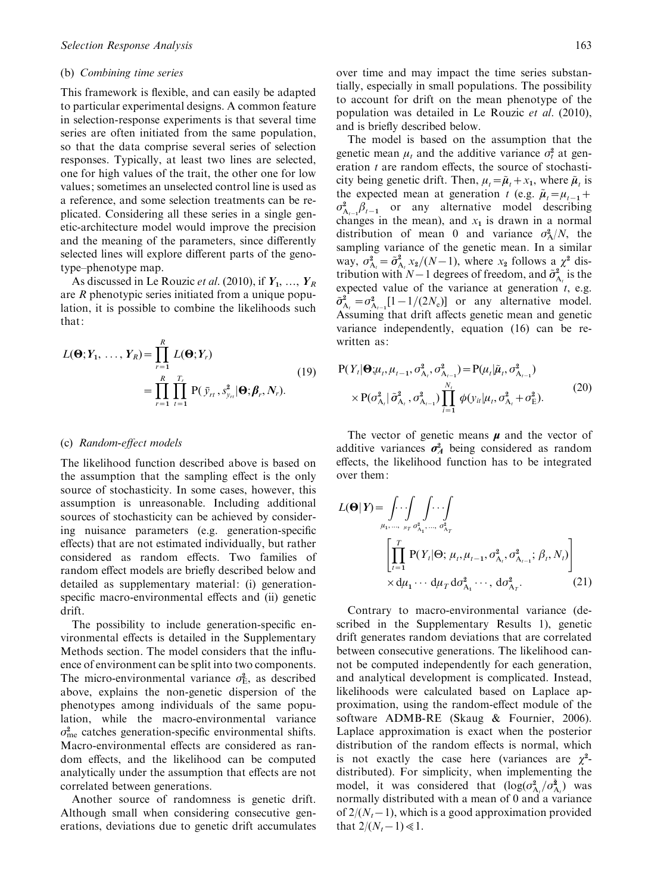### (b) Combining time series

This framework is flexible, and can easily be adapted to particular experimental designs. A common feature in selection-response experiments is that several time series are often initiated from the same population, so that the data comprise several series of selection responses. Typically, at least two lines are selected, one for high values of the trait, the other one for low values; sometimes an unselected control line is used as a reference, and some selection treatments can be replicated. Considering all these series in a single genetic-architecture model would improve the precision and the meaning of the parameters, since differently selected lines will explore different parts of the genotype–phenotype map.

As discussed in Le Rouzic *et al.* (2010), if  $Y_1, \ldots, Y_R$ are R phenotypic series initiated from a unique population, it is possible to combine the likelihoods such that:

$$
L(\mathbf{\Theta}; Y_1, \dots, Y_R) = \prod_{r=1}^R L(\mathbf{\Theta}; Y_r)
$$
  
= 
$$
\prod_{r=1}^R \prod_{t=1}^{T_r} \mathrm{P}(\bar{y}_{rt}, s_{y_{rt}}^2 | \mathbf{\Theta}; \beta_r, N_r).
$$
 (19)

### (c) Random-effect models

The likelihood function described above is based on the assumption that the sampling effect is the only source of stochasticity. In some cases, however, this assumption is unreasonable. Including additional sources of stochasticity can be achieved by considering nuisance parameters (e.g. generation-specific effects) that are not estimated individually, but rather considered as random effects. Two families of random effect models are briefly described below and detailed as supplementary material: (i) generationspecific macro-environmental effects and (ii) genetic drift.

The possibility to include generation-specific environmental effects is detailed in the Supplementary Methods section. The model considers that the influence of environment can be split into two components. The micro-environmental variance  $\sigma_{\rm E}^2$ , as described above, explains the non-genetic dispersion of the phenotypes among individuals of the same population, while the macro-environmental variance  $\sigma_{\text{me}}^2$  catches generation-specific environmental shifts. Macro-environmental effects are considered as random effects, and the likelihood can be computed analytically under the assumption that effects are not correlated between generations.

Another source of randomness is genetic drift. Although small when considering consecutive generations, deviations due to genetic drift accumulates over time and may impact the time series substantially, especially in small populations. The possibility to account for drift on the mean phenotype of the population was detailed in Le Rouzic et al. (2010), and is briefly described below.

The model is based on the assumption that the genetic mean  $\mu_t$  and the additive variance  $\sigma_t^2$  at generation t are random effects, the source of stochasticity being genetic drift. Then,  $\mu_t = \tilde{\mu}_t + x_1$ , where  $\tilde{\mu}_t$  is the expected mean at generation t (e.g.  $\tilde{\mu}_t = \mu_{t-1} +$  $\sigma_{A_{t-1}}^2 \beta_{t-1}$  or any alternative model describing changes in the mean), and  $x_1$  is drawn in a normal distribution of mean 0 and variance  $\sigma_A^2/N$ , the sampling variance of the genetic mean. In a similar way,  $\sigma_{A_t}^2 = \tilde{\sigma}_{A_t}^2 x_2/(N-1)$ , where  $x_2$  follows  $a_2 \chi^2$  distribution with  $N-1$  degrees of freedom, and  $\tilde{\sigma}_{A_t}^2$  is the expected value of the variance at generation  $t$ , e.g.  $\tilde{\sigma}_{A_t}^2 = \sigma_{A_{t-1}}^2 [1 - 1/(2N_e)]$  or any alternative model. Assuming that drift affects genetic mean and genetic variance independently, equation (16) can be rewritten as:

$$
P(Yt|Θ; \mut, \mut-1, \sigma2At, \sigma2At-1) = P(\mut| $\tilde{\mu}t, \sigma2At-1)$   
× P( $\sigma2At$ |  $\tilde{\sigma}2At$ ,  $\sigma2At-1$ )  $\prod_{i=1}^{N_t} \phi(y_{it}|\mut, \sigma2At + \sigma2E)$ . (20)
$$

The vector of genetic means  $\mu$  and the vector of additive variances  $\sigma_A^2$  being considered as random effects, the likelihood function has to be integrated over them:

$$
L(\mathbf{\Theta}|\mathbf{Y}) = \int \cdot \cdot \int \int \cdot \cdot \cdot \int
$$
  
\n
$$
\left[ \prod_{t=1}^{T} P(Y_t|\Theta; \mu_t, \mu_{t-1}, \sigma_{A_t}^2, \sigma_{A_{t-1}}^2; \beta_t, N_t) \right]
$$
  
\n
$$
\times d\mu_1 \cdots d\mu_T d\sigma_{A_1}^2 \cdots, d\sigma_{A_T}^2. \qquad (21)
$$

Contrary to macro-environmental variance (described in the Supplementary Results 1), genetic drift generates random deviations that are correlated between consecutive generations. The likelihood cannot be computed independently for each generation, and analytical development is complicated. Instead, likelihoods were calculated based on Laplace approximation, using the random-effect module of the software ADMB-RE (Skaug & Fournier, 2006). Laplace approximation is exact when the posterior distribution of the random effects is normal, which is not exactly the case here (variances are  $\chi^2$ distributed). For simplicity, when implementing the model, it was considered that  $(\log(\sigma_{A_t}^2/\sigma_{A_t}^2))$  was normally distributed with a mean of 0 and a variance of  $2/(N<sub>t</sub>-1)$ , which is a good approximation provided that  $2/(N_t-1) \ll 1$ .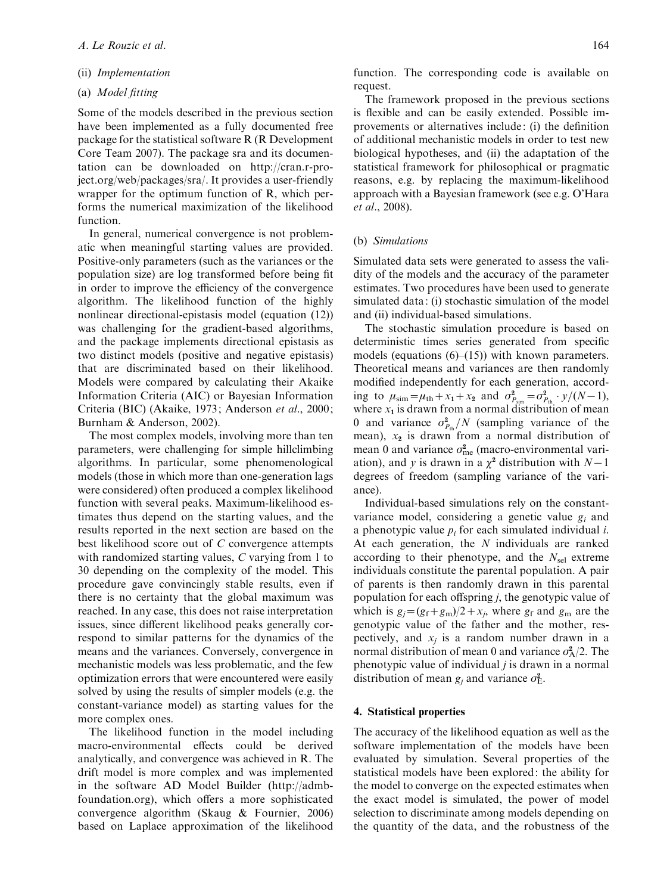## (ii) Implementation

### (a) Model fitting

Some of the models described in the previous section have been implemented as a fully documented free package for the statistical software R (R Development Core Team 2007). The package sra and its documentation can be downloaded on http://cran.r-project.org/web/packages/sra/. It provides a user-friendly wrapper for the optimum function of R, which performs the numerical maximization of the likelihood function.

In general, numerical convergence is not problematic when meaningful starting values are provided. Positive-only parameters (such as the variances or the population size) are log transformed before being fit in order to improve the efficiency of the convergence algorithm. The likelihood function of the highly nonlinear directional-epistasis model (equation (12)) was challenging for the gradient-based algorithms, and the package implements directional epistasis as two distinct models (positive and negative epistasis) that are discriminated based on their likelihood. Models were compared by calculating their Akaike Information Criteria (AIC) or Bayesian Information Criteria (BIC) (Akaike, 1973; Anderson et al., 2000; Burnham & Anderson, 2002).

The most complex models, involving more than ten parameters, were challenging for simple hillclimbing algorithms. In particular, some phenomenological models (those in which more than one-generation lags were considered) often produced a complex likelihood function with several peaks. Maximum-likelihood estimates thus depend on the starting values, and the results reported in the next section are based on the best likelihood score out of C convergence attempts with randomized starting values, C varying from 1 to 30 depending on the complexity of the model. This procedure gave convincingly stable results, even if there is no certainty that the global maximum was reached. In any case, this does not raise interpretation issues, since different likelihood peaks generally correspond to similar patterns for the dynamics of the means and the variances. Conversely, convergence in mechanistic models was less problematic, and the few optimization errors that were encountered were easily solved by using the results of simpler models (e.g. the constant-variance model) as starting values for the more complex ones.

The likelihood function in the model including macro-environmental effects could be derived analytically, and convergence was achieved in R. The drift model is more complex and was implemented in the software AD Model Builder (http://admbfoundation.org), which offers a more sophisticated convergence algorithm (Skaug & Fournier, 2006) based on Laplace approximation of the likelihood function. The corresponding code is available on request.

The framework proposed in the previous sections is flexible and can be easily extended. Possible improvements or alternatives include: (i) the definition of additional mechanistic models in order to test new biological hypotheses, and (ii) the adaptation of the statistical framework for philosophical or pragmatic reasons, e.g. by replacing the maximum-likelihood approach with a Bayesian framework (see e.g. O'Hara et al., 2008).

### (b) Simulations

Simulated data sets were generated to assess the validity of the models and the accuracy of the parameter estimates. Two procedures have been used to generate simulated data: (i) stochastic simulation of the model and (ii) individual-based simulations.

The stochastic simulation procedure is based on deterministic times series generated from specific models (equations  $(6)$ – $(15)$ ) with known parameters. Theoretical means and variances are then randomly modified independently for each generation, according to  $\mu_{\text{sim}} = \mu_{\text{th}} + x_1 + x_2$  and  $\sigma_{P_{\text{sim}}}^2 = \sigma_{P_{\text{th}}}^2 \cdot y/(N-1)$ , where  $x_1$  is drawn from a normal distribution of mean 0 and variance  $\sigma_{P_{\text{th}}}^2/N$  (sampling variance of the mean),  $x_2$  is drawn from a normal distribution of mean 0 and variance  $\sigma_{\text{me}}^2$  (macro-environmental variation), and y is drawn in a  $\chi^2$  distribution with  $N-1$ degrees of freedom (sampling variance of the variance).

Individual-based simulations rely on the constantvariance model, considering a genetic value  $g_i$  and a phenotypic value  $p_i$  for each simulated individual *i*. At each generation, the  $N$  individuals are ranked according to their phenotype, and the  $N_{\text{sel}}$  extreme individuals constitute the parental population. A pair of parents is then randomly drawn in this parental population for each offspring j, the genotypic value of which is  $g_i = (g_f + g_m)/2 + x_i$ , where  $g_f$  and  $g_m$  are the genotypic value of the father and the mother, respectively, and  $x_i$  is a random number drawn in a normal distribution of mean 0 and variance  $\sigma_A^2/2$ . The phenotypic value of individual  $j$  is drawn in a normal distribution of mean  $g_j$  and variance  $\sigma_{\rm E}^2$ .

## 4. Statistical properties

The accuracy of the likelihood equation as well as the software implementation of the models have been evaluated by simulation. Several properties of the statistical models have been explored: the ability for the model to converge on the expected estimates when the exact model is simulated, the power of model selection to discriminate among models depending on the quantity of the data, and the robustness of the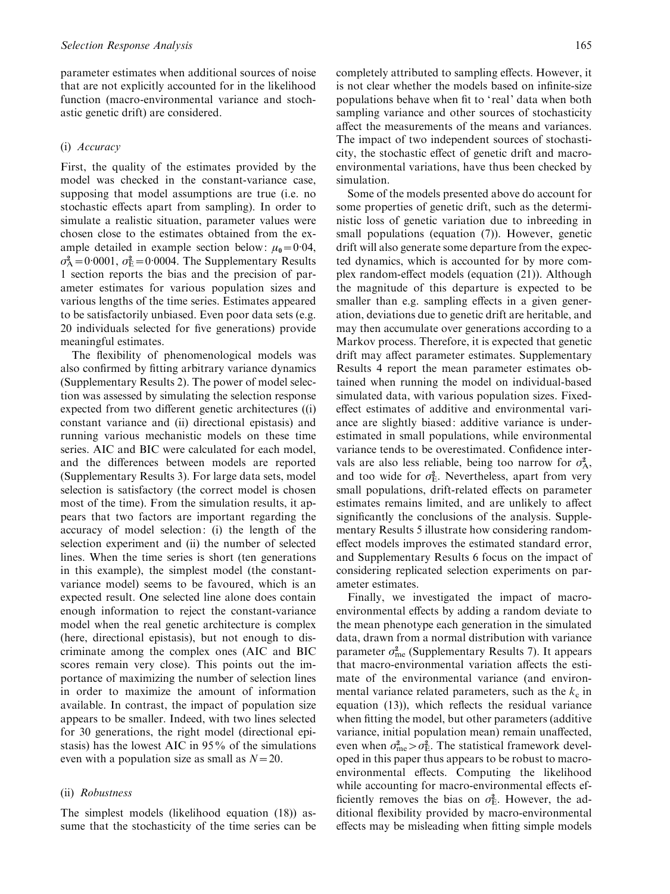parameter estimates when additional sources of noise that are not explicitly accounted for in the likelihood function (macro-environmental variance and stochastic genetic drift) are considered.

### (i) Accuracy

First, the quality of the estimates provided by the model was checked in the constant-variance case, supposing that model assumptions are true (i.e. no stochastic effects apart from sampling). In order to simulate a realistic situation, parameter values were chosen close to the estimates obtained from the example detailed in example section below:  $\mu_0 = 0.04$ ,  $\sigma_A^2$  = 0.0001,  $\sigma_E^2$  = 0.0004. The Supplementary Results 1 section reports the bias and the precision of parameter estimates for various population sizes and various lengths of the time series. Estimates appeared to be satisfactorily unbiased. Even poor data sets (e.g. 20 individuals selected for five generations) provide meaningful estimates.

The flexibility of phenomenological models was also confirmed by fitting arbitrary variance dynamics (Supplementary Results 2). The power of model selection was assessed by simulating the selection response expected from two different genetic architectures ((i) constant variance and (ii) directional epistasis) and running various mechanistic models on these time series. AIC and BIC were calculated for each model, and the differences between models are reported (Supplementary Results 3). For large data sets, model selection is satisfactory (the correct model is chosen most of the time). From the simulation results, it appears that two factors are important regarding the accuracy of model selection: (i) the length of the selection experiment and (ii) the number of selected lines. When the time series is short (ten generations in this example), the simplest model (the constantvariance model) seems to be favoured, which is an expected result. One selected line alone does contain enough information to reject the constant-variance model when the real genetic architecture is complex (here, directional epistasis), but not enough to discriminate among the complex ones (AIC and BIC scores remain very close). This points out the importance of maximizing the number of selection lines in order to maximize the amount of information available. In contrast, the impact of population size appears to be smaller. Indeed, with two lines selected for 30 generations, the right model (directional epistasis) has the lowest AIC in 95% of the simulations even with a population size as small as  $N=20$ .

## (ii) Robustness

The simplest models (likelihood equation (18)) assume that the stochasticity of the time series can be completely attributed to sampling effects. However, it is not clear whether the models based on infinite-size populations behave when fit to ' real' data when both sampling variance and other sources of stochasticity affect the measurements of the means and variances. The impact of two independent sources of stochasticity, the stochastic effect of genetic drift and macroenvironmental variations, have thus been checked by simulation.

Some of the models presented above do account for some properties of genetic drift, such as the deterministic loss of genetic variation due to inbreeding in small populations (equation (7)). However, genetic drift will also generate some departure from the expected dynamics, which is accounted for by more complex random-effect models (equation (21)). Although the magnitude of this departure is expected to be smaller than e.g. sampling effects in a given generation, deviations due to genetic drift are heritable, and may then accumulate over generations according to a Markov process. Therefore, it is expected that genetic drift may affect parameter estimates. Supplementary Results 4 report the mean parameter estimates obtained when running the model on individual-based simulated data, with various population sizes. Fixedeffect estimates of additive and environmental variance are slightly biased: additive variance is underestimated in small populations, while environmental variance tends to be overestimated. Confidence intervals are also less reliable, being too narrow for  $\sigma_A^2$ , and too wide for  $\sigma_{\rm E}^2$ . Nevertheless, apart from very small populations, drift-related effects on parameter estimates remains limited, and are unlikely to affect significantly the conclusions of the analysis. Supplementary Results 5 illustrate how considering randomeffect models improves the estimated standard error, and Supplementary Results 6 focus on the impact of considering replicated selection experiments on parameter estimates.

Finally, we investigated the impact of macroenvironmental effects by adding a random deviate to the mean phenotype each generation in the simulated data, drawn from a normal distribution with variance parameter  $\sigma_{\text{me}}^2$  (Supplementary Results 7). It appears that macro-environmental variation affects the estimate of the environmental variance (and environmental variance related parameters, such as the  $k_c$  in equation (13)), which reflects the residual variance when fitting the model, but other parameters (additive variance, initial population mean) remain unaffected, even when  $\sigma_{\text{me}}^2 > \sigma_{\text{E}}^2$ . The statistical framework developed in this paper thus appears to be robust to macroenvironmental effects. Computing the likelihood while accounting for macro-environmental effects efficiently removes the bias on  $\sigma_{\rm E}^2$ . However, the additional flexibility provided by macro-environmental effects may be misleading when fitting simple models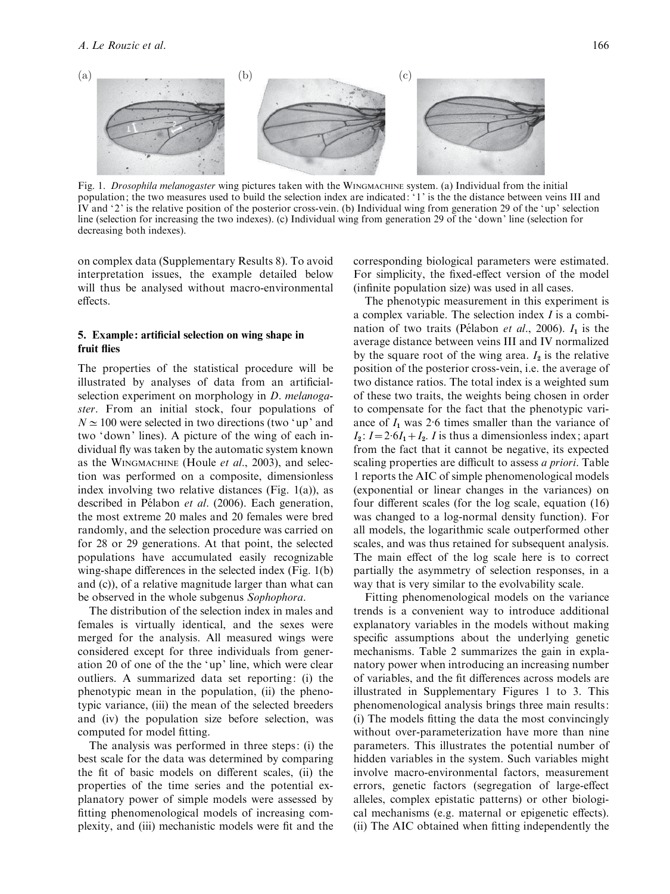

Fig. 1. Drosophila melanogaster wing pictures taken with the WINGMACHINE system. (a) Individual from the initial population; the two measures used to build the selection index are indicated: ' 1' is the the distance between veins III and IV and '2' is the relative position of the posterior cross-vein. (b) Individual wing from generation 29 of the 'up' selection line (selection for increasing the two indexes). (c) Individual wing from generation 29 of the 'down' line (selection for decreasing both indexes).

on complex data (Supplementary Results 8). To avoid interpretation issues, the example detailed below will thus be analysed without macro-environmental effects.

## 5. Example: artificial selection on wing shape in fruit flies

The properties of the statistical procedure will be illustrated by analyses of data from an artificialselection experiment on morphology in D. *melanoga*ster. From an initial stock, four populations of  $N \approx 100$  were selected in two directions (two 'up' and two 'down' lines). A picture of the wing of each individual fly was taken by the automatic system known as the WINGMACHINE (Houle et al., 2003), and selection was performed on a composite, dimensionless index involving two relative distances (Fig. 1(a)), as described in Pélabon *et al.* (2006). Each generation, the most extreme 20 males and 20 females were bred randomly, and the selection procedure was carried on for 28 or 29 generations. At that point, the selected populations have accumulated easily recognizable wing-shape differences in the selected index (Fig. 1(b) and (c)), of a relative magnitude larger than what can be observed in the whole subgenus Sophophora.

The distribution of the selection index in males and females is virtually identical, and the sexes were merged for the analysis. All measured wings were considered except for three individuals from generation 20 of one of the the 'up' line, which were clear outliers. A summarized data set reporting: (i) the phenotypic mean in the population, (ii) the phenotypic variance, (iii) the mean of the selected breeders and (iv) the population size before selection, was computed for model fitting.

The analysis was performed in three steps: (i) the best scale for the data was determined by comparing the fit of basic models on different scales, (ii) the properties of the time series and the potential explanatory power of simple models were assessed by fitting phenomenological models of increasing complexity, and (iii) mechanistic models were fit and the corresponding biological parameters were estimated. For simplicity, the fixed-effect version of the model (infinite population size) was used in all cases.

The phenotypic measurement in this experiment is a complex variable. The selection index I is a combination of two traits (Pélabon et al., 2006).  $I_1$  is the average distance between veins III and IV normalized by the square root of the wing area.  $I_2$  is the relative position of the posterior cross-vein, i.e. the average of two distance ratios. The total index is a weighted sum of these two traits, the weights being chosen in order to compensate for the fact that the phenotypic variance of  $I_1$  was 2.6 times smaller than the variance of  $I_2$ :  $I = 2.6I_1 + I_2$ . *I* is thus a dimensionless index; apart from the fact that it cannot be negative, its expected scaling properties are difficult to assess *a priori*. Table 1 reports the AIC of simple phenomenological models (exponential or linear changes in the variances) on four different scales (for the log scale, equation (16) was changed to a log-normal density function). For all models, the logarithmic scale outperformed other scales, and was thus retained for subsequent analysis. The main effect of the log scale here is to correct partially the asymmetry of selection responses, in a way that is very similar to the evolvability scale.

Fitting phenomenological models on the variance trends is a convenient way to introduce additional explanatory variables in the models without making specific assumptions about the underlying genetic mechanisms. Table 2 summarizes the gain in explanatory power when introducing an increasing number of variables, and the fit differences across models are illustrated in Supplementary Figures 1 to 3. This phenomenological analysis brings three main results: (i) The models fitting the data the most convincingly without over-parameterization have more than nine parameters. This illustrates the potential number of hidden variables in the system. Such variables might involve macro-environmental factors, measurement errors, genetic factors (segregation of large-effect alleles, complex epistatic patterns) or other biological mechanisms (e.g. maternal or epigenetic effects). (ii) The AIC obtained when fitting independently the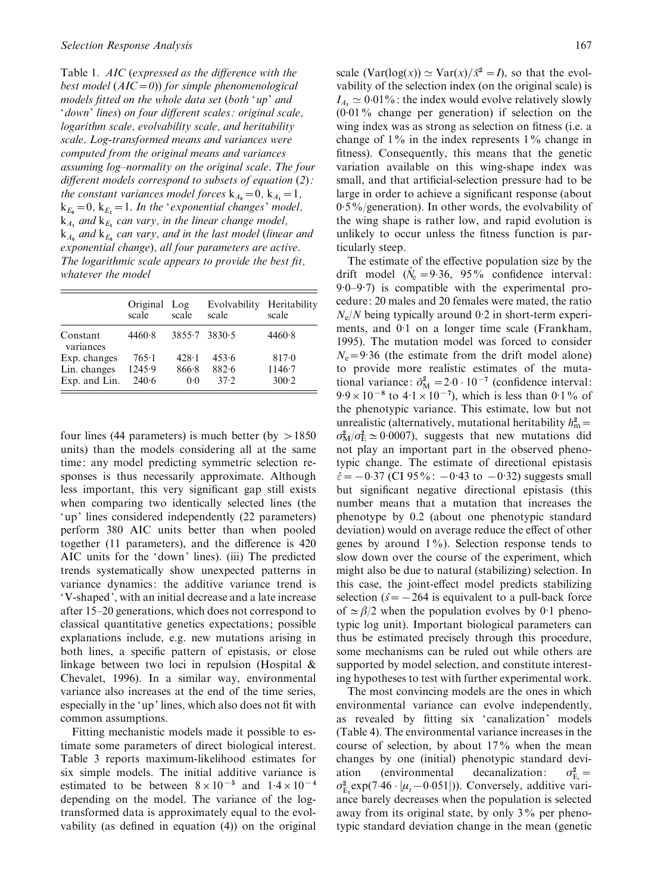Table 1. AIC (expressed as the difference with the best model  $(AIC=0)$ ) for simple phenomenological models fitted on the whole data set (both 'up' and 'down' lines) on four different scales : original scale, logarithm scale, evolvability scale, and heritability scale. Log-transformed means and variances were computed from the original means and variances assuming log–normality on the original scale. The four different models correspond to subsets of equation (2): the constant variances model forces  $k_{A_0}=0$ ,  $k_{A_1}=1$ ,  $k_{E_0}=0$ ,  $k_{E_1}=1$ . In the 'exponential changes' model,  $k_{A_1}$  and  $k_{E_1}$  can vary, in the linear change model,  $k_{A_0}$  and  $k_{E_0}$  can vary, and in the last model (linear and exponential change), all four parameters are active. The logarithmic scale appears to provide the best fit, whatever the model

|                       | Original Log<br>scale | scale     | Evolvability<br>scale | Heritability<br>scale |
|-----------------------|-----------------------|-----------|-----------------------|-----------------------|
| Constant<br>variances | 4460.8                |           | 3855-7 3830-5         | 4460.8                |
| Exp. changes          | $765-1$               | $428 - 1$ | 453.6                 | $817 - 0$             |
| Lin. changes          | 1245.9                | 866.8     | $882 - 6$             | 1146.7                |
| Exp. and Lin.         | 240.6                 | 0.0       | 37.2                  | 300.2                 |
|                       |                       |           |                       |                       |

four lines (44 parameters) is much better (by  $>1850$ units) than the models considering all at the same time: any model predicting symmetric selection responses is thus necessarily approximate. Although less important, this very significant gap still exists when comparing two identically selected lines (the 'up' lines considered independently (22 parameters) perform 380 AIC units better than when pooled together (11 parameters), and the difference is 420 AIC units for the 'down' lines). (iii) The predicted trends systematically show unexpected patterns in variance dynamics: the additive variance trend is 'V-shaped', with an initial decrease and a late increase after 15–20 generations, which does not correspond to classical quantitative genetics expectations; possible explanations include, e.g. new mutations arising in both lines, a specific pattern of epistasis, or close linkage between two loci in repulsion (Hospital & Chevalet, 1996). In a similar way, environmental variance also increases at the end of the time series, especially in the 'up' lines, which also does not fit with common assumptions.

Fitting mechanistic models made it possible to estimate some parameters of direct biological interest. Table 3 reports maximum-likelihood estimates for six simple models. The initial additive variance is estimated to be between  $8 \times 10^{-5}$  and  $1.4 \times 10^{-4}$ depending on the model. The variance of the logtransformed data is approximately equal to the evolvability (as defined in equation (4)) on the original

scale  $(\text{Var}(\log(x)) \simeq \text{Var}(x) / \bar{x}^2 = I)$ , so that the evolvability of the selection index (on the original scale) is  $I_{A_1} \simeq 0.01\%$ : the index would evolve relatively slowly  $(0.01\%$  change per generation) if selection on the wing index was as strong as selection on fitness (i.e. a change of 1% in the index represents 1% change in fitness). Consequently, this means that the genetic variation available on this wing-shape index was small, and that artificial-selection pressure had to be large in order to achieve a significant response (about 0. 5%/generation). In other words, the evolvability of the wing shape is rather low, and rapid evolution is unlikely to occur unless the fitness function is particularly steep.

The estimate of the effective population size by the drift model  $(\hat{N}_e = 9.36, 95\%$  confidence interval: 9. 0–9. 7) is compatible with the experimental procedure: 20 males and 20 females were mated, the ratio  $N_e/N$  being typically around 0.2 in short-term experiments, and 0.1 on a longer time scale (Frankham, 1995). The mutation model was forced to consider  $N_e = 9.36$  (the estimate from the drift model alone) to provide more realistic estimates of the mutational variance:  $\hat{\sigma}_{\rm M}^2 = 2.0 \cdot 10^{-7}$  (confidence interval:  $9.9 \times 10^{-8}$  to  $4.1 \times 10^{-7}$ ), which is less than  $0.1\%$  of the phenotypic variance. This estimate, low but not unrealistic (alternatively, mutational heritability  $h_{\rm m}^2 =$  $\sigma_{\rm M}^2/\sigma_{\rm E}^2 \simeq 0.0007$ ), suggests that new mutations did not play an important part in the observed phenotypic change. The estimate of directional epistasis  $\hat{\epsilon} = -0.37$  (CI 95%:  $-0.43$  to  $-0.32$ ) suggests small but significant negative directional epistasis (this number means that a mutation that increases the phenotype by 0.2 (about one phenotypic standard deviation) would on average reduce the effect of other genes by around  $1\%$ ). Selection response tends to slow down over the course of the experiment, which might also be due to natural (stabilizing) selection. In this case, the joint-effect model predicts stabilizing selection ( $\hat{s} = -264$  is equivalent to a pull-back force of  $\simeq \beta/2$  when the population evolves by 0.1 phenotypic log unit). Important biological parameters can thus be estimated precisely through this procedure, some mechanisms can be ruled out while others are supported by model selection, and constitute interesting hypotheses to test with further experimental work.

The most convincing models are the ones in which environmental variance can evolve independently, as revealed by fitting six 'canalization' models (Table 4). The environmental variance increases in the course of selection, by about 17% when the mean changes by one (initial) phenotypic standard deviation (environmental decanalization:  $^{2}_{E_{t}} =$  $\sigma_{\text{E}_{1}}^{2} \exp(7.46 \cdot \left| \mu_{t} - 0.051 \right|))$ . Conversely, additive variance barely decreases when the population is selected away from its original state, by only 3% per phenotypic standard deviation change in the mean (genetic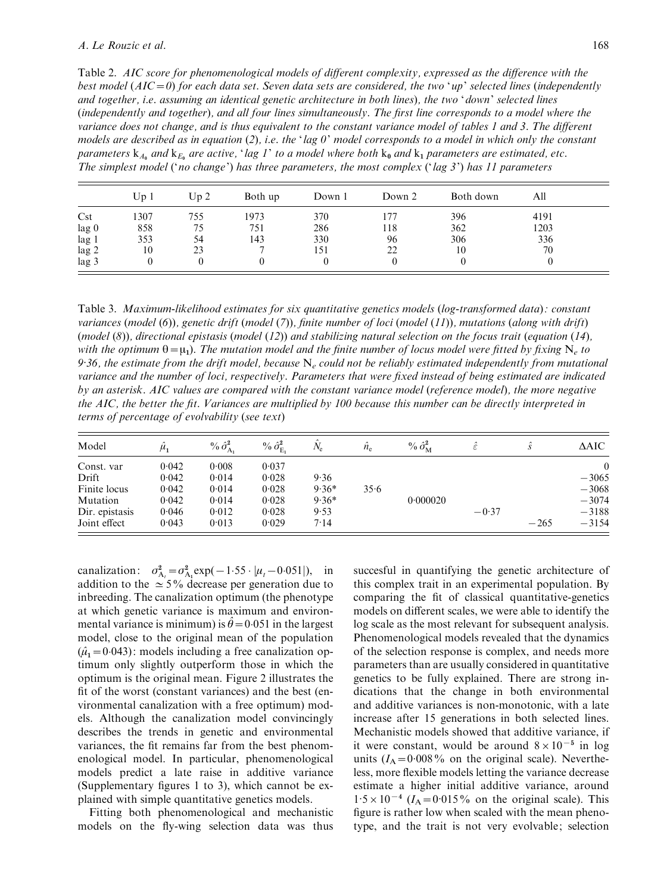### A. Le Rouzic et al. 168

Table 2. AIC score for phenomenological models of different complexity, expressed as the difference with the best model ( $AIC=0$ ) for each data set. Seven data sets are considered, the two 'up' selected lines (independently and together, i.e. assuming an identical genetic architecture in both lines), the two 'down' selected lines (independently and together), and all four lines simultaneously. The first line corresponds to a model where the variance does not change, and is thus equivalent to the constant variance model of tables 1 and 3. The different models are described as in equation  $(2)$ , i.e. the 'lag 0' model corresponds to a model in which only the constant parameters  $k_{A_0}$  and  $k_{E_0}$  are active, 'lag 1' to a model where both  $k_0$  and  $k_1$  parameters are estimated, etc. The simplest model ('no change') has three parameters, the most complex ('lag 3') has 11 parameters

|                  | Up 1 | Up <sub>2</sub> | Both up | Down 1 | Down 2 | Both down | All  |  |
|------------------|------|-----------------|---------|--------|--------|-----------|------|--|
| <b>Cst</b>       | 1307 | 755             | 1973    | 370    |        | 396       | 4191 |  |
| lag 0            | 858  | 75              | 751     | 286    | 118    | 362       | 1203 |  |
| lag 1            | 353  | 54              | 143     | 330    | 96     | 306       | 336  |  |
| lag <sub>2</sub> | 10   | 23              |         | 151    | 22     | 10        | 70   |  |
| lag 3            |      |                 |         |        |        |           |      |  |

Table 3. Maximum-likelihood estimates for six quantitative genetics models (log-transformed data): constant variances (model  $(6)$ ), genetic drift (model  $(7)$ ), finite number of loci (model  $(11)$ ), mutations (along with drift) (model  $(8)$ ), directional epistasis (model (12)) and stabilizing natural selection on the focus trait (equation (14), with the optimum  $\theta = \mu_1$ ). The mutation model and the finite number of locus model were fitted by fixing N<sub>e</sub> to 9.36, the estimate from the drift model, because  $N_e$  could not be reliably estimated independently from mutational variance and the number of loci, respectively. Parameters that were fixed instead of being estimated are indicated by an asterisk. AIC values are compared with the constant variance model (reference model), the more negative the AIC, the better the fit. Variances are multiplied by 100 because this number can be directly interpreted in terms of percentage of evolvability (see text)

| $\mu_{1}$ | $\%$ $\hat{\sigma}_{\text{A}_1}^2$ | $\%$ $\hat{\sigma}_{\rm E_{1}}^{2}$ | $N_{\rm e}$ | $\hat{n}_{\rm e}$ | % $\hat{\sigma}^2_{\rm M}$ | $\hat{\varepsilon}$ | $\hat{s}$ | $\triangle AIC$ |
|-----------|------------------------------------|-------------------------------------|-------------|-------------------|----------------------------|---------------------|-----------|-----------------|
| 0.042     | 0.008                              | 0.037                               |             |                   |                            |                     |           | $\Omega$        |
| 0.042     | 0.014                              | 0.028                               | 9.36        |                   |                            |                     |           | $-3065$         |
| 0.042     | 0.014                              | 0.028                               | $9.36*$     | 35.6              |                            |                     |           | $-3068$         |
| 0.042     | 0.014                              | 0.028                               | $9.36*$     |                   | 0.000020                   |                     |           | $-3074$         |
| 0.046     | 0.012                              | 0.028                               | 9.53        |                   |                            | $-0.37$             |           | $-3188$         |
| 0.043     | 0.013                              | 0.029                               | 7.14        |                   |                            |                     | $-265$    | $-3154$         |
|           |                                    |                                     |             |                   |                            |                     |           |                 |

canalization:  $\sigma_{A_t}^2 = \sigma_{A_1}^2 \exp(-1.55 \cdot |\mu_t - 0.051|),$  in addition to the  $\approx$  5% decrease per generation due to inbreeding. The canalization optimum (the phenotype at which genetic variance is maximum and environmental variance is minimum) is  $\hat{\theta} = 0.051$  in the largest model, close to the original mean of the population  $(\hat{\mu}_1 = 0.043)$ : models including a free canalization optimum only slightly outperform those in which the optimum is the original mean. Figure 2 illustrates the fit of the worst (constant variances) and the best (environmental canalization with a free optimum) models. Although the canalization model convincingly describes the trends in genetic and environmental variances, the fit remains far from the best phenomenological model. In particular, phenomenological models predict a late raise in additive variance (Supplementary figures 1 to 3), which cannot be explained with simple quantitative genetics models.

Fitting both phenomenological and mechanistic models on the fly-wing selection data was thus

succesful in quantifying the genetic architecture of this complex trait in an experimental population. By comparing the fit of classical quantitative-genetics models on different scales, we were able to identify the log scale as the most relevant for subsequent analysis. Phenomenological models revealed that the dynamics of the selection response is complex, and needs more parameters than are usually considered in quantitative genetics to be fully explained. There are strong indications that the change in both environmental and additive variances is non-monotonic, with a late increase after 15 generations in both selected lines. Mechanistic models showed that additive variance, if it were constant, would be around  $8 \times 10^{-5}$  in log units  $(I_A = 0.008\%$  on the original scale). Nevertheless, more flexible models letting the variance decrease estimate a higher initial additive variance, around  $1.5 \times 10^{-4}$  ( $I_A = 0.015\%$  on the original scale). This figure is rather low when scaled with the mean phenotype, and the trait is not very evolvable; selection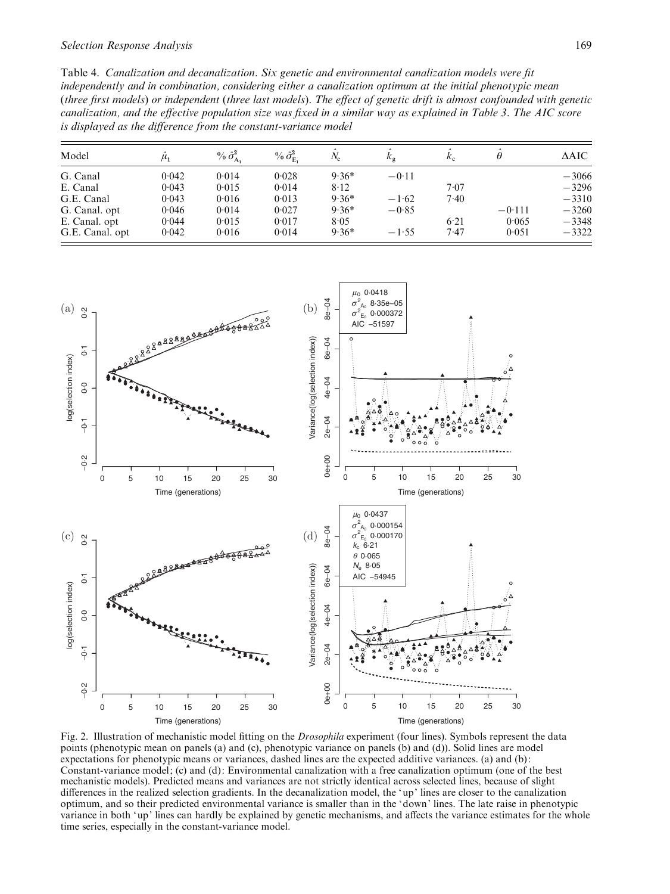Table 4. Canalization and decanalization. Six genetic and environmental canalization models were fit independently and in combination, considering either a canalization optimum at the initial phenotypic mean (three first models) or independent (three last models). The effect of genetic drift is almost confounded with genetic canalization, and the effective population size was fixed in a similar way as explained in Table 3. The AIC score is displayed as the difference from the constant-variance model

| Model           | $\mu_{1}$ | $\%$ $\hat{\sigma}_{\text{A}_1}^2$ | $\%$ $\hat{\sigma}_{\text{E}_1}^2$ | $N_{\rm e}$ | $k_{\alpha}$ | n <sub>c</sub> | θ        | $\triangle AIC$ |
|-----------------|-----------|------------------------------------|------------------------------------|-------------|--------------|----------------|----------|-----------------|
| G. Canal        | 0.042     | 0.014                              | 0.028                              | $9.36*$     | $-0.11$      |                |          | $-3066$         |
| E. Canal        | 0.043     | 0.015                              | 0.014                              | 8.12        |              | 7.07           |          | $-3296$         |
| G.E. Canal      | 0.043     | 0.016                              | 0.013                              | $9.36*$     | $-1.62$      | $7-40$         |          | $-3310$         |
| G. Canal. opt   | 0.046     | 0.014                              | 0.027                              | $9.36*$     | $-0.85$      |                | $-0.111$ | $-3260$         |
| E. Canal. opt   | 0.044     | 0.015                              | 0.017                              | 8.05        |              | 6.21           | 0.065    | $-3348$         |
| G.E. Canal. opt | 0.042     | 0.016                              | 0.014                              | $9.36*$     | $-1.55$      | 7.47           | 0.051    | $-3322$         |



Fig. 2. Illustration of mechanistic model fitting on the *Drosophila* experiment (four lines). Symbols represent the data points (phenotypic mean on panels (a) and (c), phenotypic variance on panels (b) and (d)). Solid lines are model expectations for phenotypic means or variances, dashed lines are the expected additive variances. (a) and (b): Constant-variance model; (c) and (d): Environmental canalization with a free canalization optimum (one of the best mechanistic models). Predicted means and variances are not strictly identical across selected lines, because of slight differences in the realized selection gradients. In the decanalization model, the 'up' lines are closer to the canalization optimum, and so their predicted environmental variance is smaller than in the 'down' lines. The late raise in phenotypic variance in both 'up' lines can hardly be explained by genetic mechanisms, and affects the variance estimates for the whole time series, especially in the constant-variance model.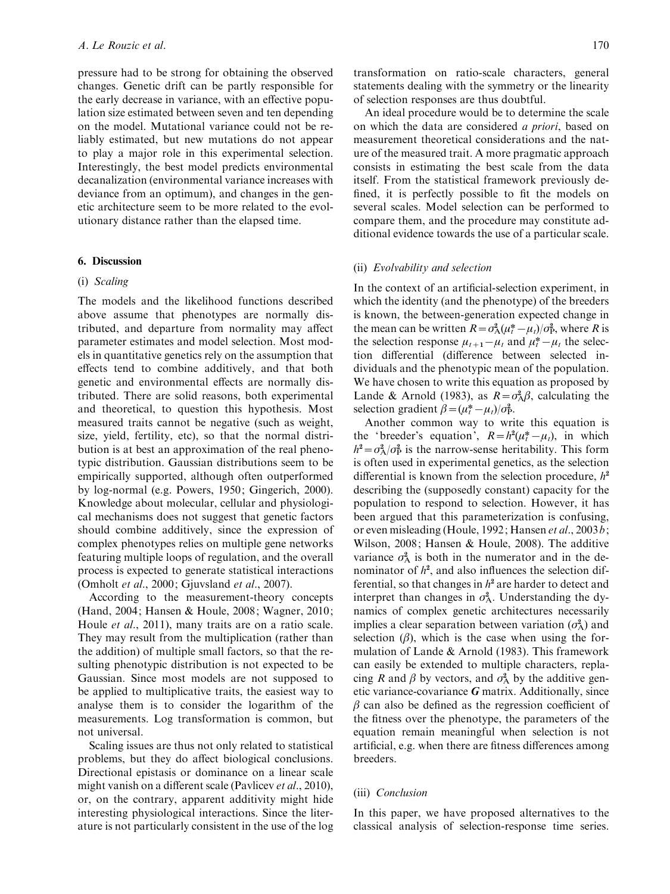pressure had to be strong for obtaining the observed changes. Genetic drift can be partly responsible for the early decrease in variance, with an effective population size estimated between seven and ten depending on the model. Mutational variance could not be reliably estimated, but new mutations do not appear to play a major role in this experimental selection. Interestingly, the best model predicts environmental decanalization (environmental variance increases with deviance from an optimum), and changes in the genetic architecture seem to be more related to the evolutionary distance rather than the elapsed time.

#### 6. Discussion

#### (i) Scaling

The models and the likelihood functions described above assume that phenotypes are normally distributed, and departure from normality may affect parameter estimates and model selection. Most models in quantitative genetics rely on the assumption that effects tend to combine additively, and that both genetic and environmental effects are normally distributed. There are solid reasons, both experimental and theoretical, to question this hypothesis. Most measured traits cannot be negative (such as weight, size, yield, fertility, etc), so that the normal distribution is at best an approximation of the real phenotypic distribution. Gaussian distributions seem to be empirically supported, although often outperformed by log-normal (e.g. Powers, 1950; Gingerich, 2000). Knowledge about molecular, cellular and physiological mechanisms does not suggest that genetic factors should combine additively, since the expression of complex phenotypes relies on multiple gene networks featuring multiple loops of regulation, and the overall process is expected to generate statistical interactions (Omholt et al., 2000; Gjuvsland et al., 2007).

According to the measurement-theory concepts (Hand, 2004; Hansen & Houle, 2008; Wagner, 2010; Houle et al., 2011), many traits are on a ratio scale. They may result from the multiplication (rather than the addition) of multiple small factors, so that the resulting phenotypic distribution is not expected to be Gaussian. Since most models are not supposed to be applied to multiplicative traits, the easiest way to analyse them is to consider the logarithm of the measurements. Log transformation is common, but not universal.

Scaling issues are thus not only related to statistical problems, but they do affect biological conclusions. Directional epistasis or dominance on a linear scale might vanish on a different scale (Pavlicev et al., 2010), or, on the contrary, apparent additivity might hide interesting physiological interactions. Since the literature is not particularly consistent in the use of the log transformation on ratio-scale characters, general statements dealing with the symmetry or the linearity of selection responses are thus doubtful.

An ideal procedure would be to determine the scale on which the data are considered a priori, based on measurement theoretical considerations and the nature of the measured trait. A more pragmatic approach consists in estimating the best scale from the data itself. From the statistical framework previously defined, it is perfectly possible to fit the models on several scales. Model selection can be performed to compare them, and the procedure may constitute additional evidence towards the use of a particular scale.

### (ii) Evolvability and selection

In the context of an artificial-selection experiment, in which the identity (and the phenotype) of the breeders is known, the between-generation expected change in the mean can be written  $R = \sigma_A^2(\mu_t^* - \mu_t)/\sigma_P^2$ , where R is the selection response  $\mu_{t+1} - \mu_t$  and  $\mu_t^* - \mu_t$  the selection differential (difference between selected individuals and the phenotypic mean of the population. We have chosen to write this equation as proposed by Lande & Arnold (1983), as  $R = \sigma_A^2 \beta$ , calculating the selection gradient  $\beta = (\mu_t^* - \mu_t)/\sigma_P^2$ .

Another common way to write this equation is the 'breeder's equation',  $R = h^2(\mu_t^* - \mu_t)$ , in which  $h^2 = \sigma_A^2/\sigma_P^2$  is the narrow-sense heritability. This form is often used in experimental genetics, as the selection differential is known from the selection procedure,  $h^2$ describing the (supposedly constant) capacity for the population to respond to selection. However, it has been argued that this parameterization is confusing, or even misleading (Houle, 1992; Hansen et al., 2003b; Wilson, 2008; Hansen & Houle, 2008). The additive variance  $\sigma_A^2$  is both in the numerator and in the denominator of  $h^2$ , and also influences the selection differential, so that changes in  $h^2$  are harder to detect and interpret than changes in  $\sigma_A^2$ . Understanding the dynamics of complex genetic architectures necessarily implies a clear separation between variation  $(\sigma_A^2)$  and selection  $(\beta)$ , which is the case when using the formulation of Lande & Arnold (1983). This framework can easily be extended to multiple characters, replacing R and  $\beta$  by vectors, and  $\sigma_A^2$  by the additive genetic variance-covariance  $G$  matrix. Additionally, since  $\beta$  can also be defined as the regression coefficient of the fitness over the phenotype, the parameters of the equation remain meaningful when selection is not artificial, e.g. when there are fitness differences among breeders.

### (iii) Conclusion

In this paper, we have proposed alternatives to the classical analysis of selection-response time series.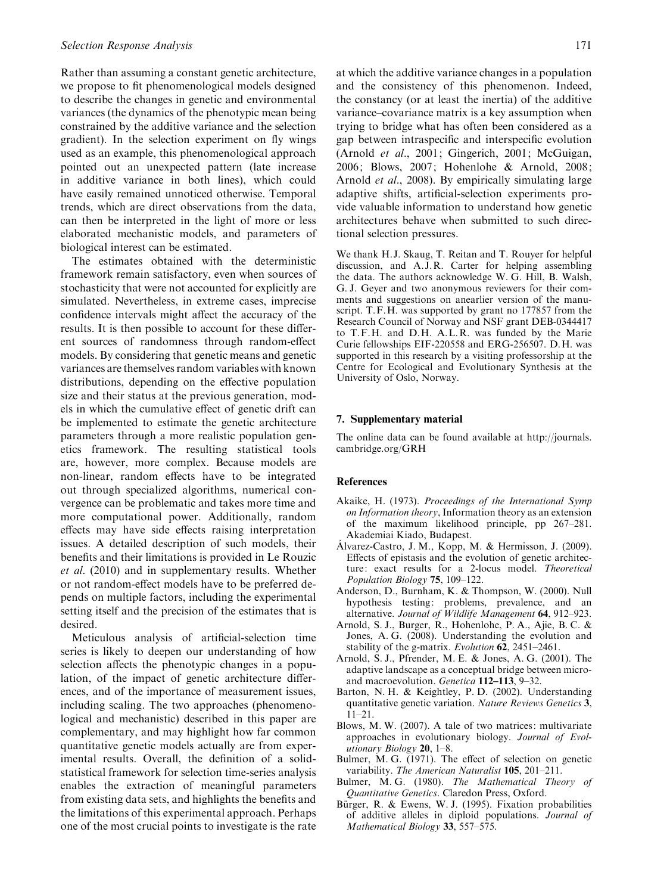Rather than assuming a constant genetic architecture, we propose to fit phenomenological models designed to describe the changes in genetic and environmental variances (the dynamics of the phenotypic mean being constrained by the additive variance and the selection gradient). In the selection experiment on fly wings used as an example, this phenomenological approach pointed out an unexpected pattern (late increase in additive variance in both lines), which could have easily remained unnoticed otherwise. Temporal trends, which are direct observations from the data, can then be interpreted in the light of more or less elaborated mechanistic models, and parameters of biological interest can be estimated.

The estimates obtained with the deterministic framework remain satisfactory, even when sources of stochasticity that were not accounted for explicitly are simulated. Nevertheless, in extreme cases, imprecise confidence intervals might affect the accuracy of the results. It is then possible to account for these different sources of randomness through random-effect models. By considering that genetic means and genetic variances are themselves random variables with known distributions, depending on the effective population size and their status at the previous generation, models in which the cumulative effect of genetic drift can be implemented to estimate the genetic architecture parameters through a more realistic population genetics framework. The resulting statistical tools are, however, more complex. Because models are non-linear, random effects have to be integrated out through specialized algorithms, numerical convergence can be problematic and takes more time and more computational power. Additionally, random effects may have side effects raising interpretation issues. A detailed description of such models, their benefits and their limitations is provided in Le Rouzic et al. (2010) and in supplementary results. Whether or not random-effect models have to be preferred depends on multiple factors, including the experimental setting itself and the precision of the estimates that is desired.

Meticulous analysis of artificial-selection time series is likely to deepen our understanding of how selection affects the phenotypic changes in a population, of the impact of genetic architecture differences, and of the importance of measurement issues, including scaling. The two approaches (phenomenological and mechanistic) described in this paper are complementary, and may highlight how far common quantitative genetic models actually are from experimental results. Overall, the definition of a solidstatistical framework for selection time-series analysis enables the extraction of meaningful parameters from existing data sets, and highlights the benefits and the limitations of this experimental approach. Perhaps one of the most crucial points to investigate is the rate

at which the additive variance changes in a population and the consistency of this phenomenon. Indeed, the constancy (or at least the inertia) of the additive variance–covariance matrix is a key assumption when trying to bridge what has often been considered as a gap between intraspecific and interspecific evolution (Arnold et al., 2001; Gingerich, 2001; McGuigan, 2006; Blows, 2007; Hohenlohe & Arnold, 2008; Arnold et al., 2008). By empirically simulating large adaptive shifts, artificial-selection experiments provide valuable information to understand how genetic architectures behave when submitted to such directional selection pressures.

We thank H.J. Skaug, T. Reitan and T. Rouyer for helpful discussion, and A.J.R. Carter for helping assembling the data. The authors acknowledge W. G. Hill, B. Walsh, G. J. Geyer and two anonymous reviewers for their comments and suggestions on anearlier version of the manuscript. T.F.H. was supported by grant no 177857 from the Research Council of Norway and NSF grant DEB-0344417 to T.F.H. and D.H. A.L.R. was funded by the Marie Curie fellowships EIF-220558 and ERG-256507. D.H. was supported in this research by a visiting professorship at the Centre for Ecological and Evolutionary Synthesis at the University of Oslo, Norway.

#### 7. Supplementary material

The online data can be found available at http://journals. cambridge.org/GRH

#### References

- Akaike, H. (1973). Proceedings of the International Symp on Information theory, Information theory as an extension of the maximum likelihood principle, pp 267–281. Akademiai Kiado, Budapest.
- Álvarez-Castro, J. M., Kopp, M. & Hermisson, J. (2009). Effects of epistasis and the evolution of genetic architecture: exact results for a 2-locus model. Theoretical Population Biology 75, 109–122.
- Anderson, D., Burnham, K. & Thompson, W. (2000). Null hypothesis testing: problems, prevalence, and an alternative. Journal of Wildlife Management 64, 912-923.
- Arnold, S. J., Burger, R., Hohenlohe, P. A., Ajie, B. C. & Jones, A. G. (2008). Understanding the evolution and stability of the g-matrix. Evolution 62, 2451-2461.
- Arnold, S. J., Pfrender, M. E. & Jones, A. G. (2001). The adaptive landscape as a conceptual bridge between microand macroevolution. Genetica 112–113, 9–32.
- Barton, N. H. & Keightley, P. D. (2002). Understanding quantitative genetic variation. Nature Reviews Genetics 3, 11–21.
- Blows, M. W. (2007). A tale of two matrices: multivariate approaches in evolutionary biology. Journal of Evolutionary Biology  $20$ , 1–8.
- Bulmer, M. G. (1971). The effect of selection on genetic variability. The American Naturalist 105, 201–211.
- Bulmer, M. G. (1980). The Mathematical Theory of Quantitative Genetics. Claredon Press, Oxford.
- Bürger, R. & Ewens, W. J. (1995). Fixation probabilities of additive alleles in diploid populations. Journal of Mathematical Biology 33, 557–575.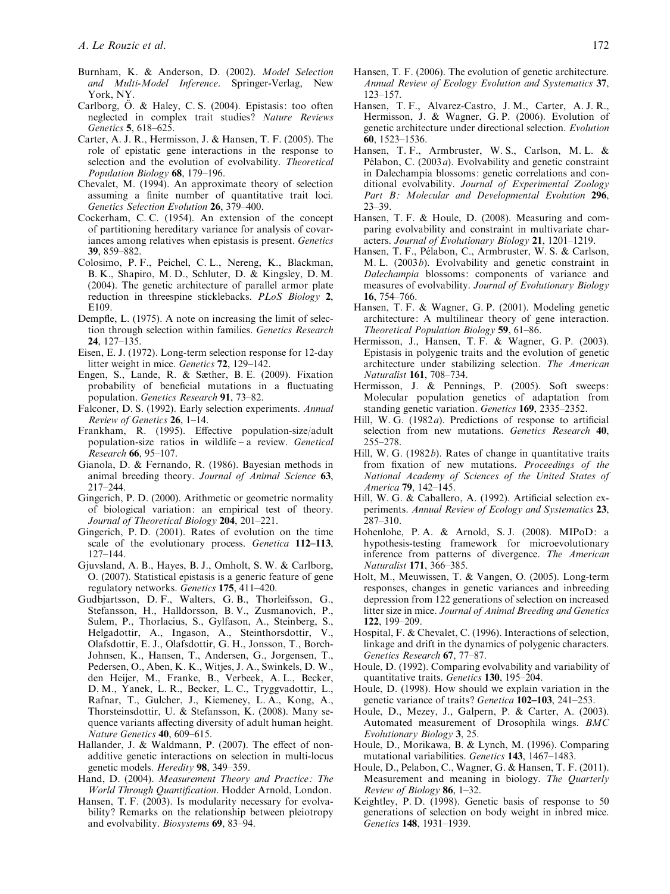- Burnham, K. & Anderson, D. (2002). Model Selection and Multi-Model Inference. Springer-Verlag, New York, NY.
- Carlborg, Ö. & Haley, C. S. (2004). Epistasis: too often neglected in complex trait studies? Nature Reviews Genetics 5, 618–625.
- Carter, A. J. R., Hermisson, J. & Hansen, T. F. (2005). The role of epistatic gene interactions in the response to selection and the evolution of evolvability. Theoretical Population Biology 68, 179–196.
- Chevalet, M. (1994). An approximate theory of selection assuming a finite number of quantitative trait loci. Genetics Selection Evolution 26, 379–400.
- Cockerham, C. C. (1954). An extension of the concept of partitioning hereditary variance for analysis of covariances among relatives when epistasis is present. Genetics 39, 859–882.
- Colosimo, P. F., Peichel, C. L., Nereng, K., Blackman, B. K., Shapiro, M. D., Schluter, D. & Kingsley, D. M. (2004). The genetic architecture of parallel armor plate reduction in threespine sticklebacks. PLoS Biology 2, E109.
- Dempfle, L. (1975). A note on increasing the limit of selection through selection within families. Genetics Research 24, 127–135.
- Eisen, E. J. (1972). Long-term selection response for 12-day litter weight in mice. Genetics 72, 129–142.
- Engen, S., Lande, R. & Sæther, B. E. (2009). Fixation probability of beneficial mutations in a fluctuating population. Genetics Research 91, 73–82.
- Falconer, D. S. (1992). Early selection experiments. Annual Review of Genetics 26, 1–14.
- Frankham, R. (1995). Effective population-size/adult population-size ratios in wildlife – a review. Genetical Research 66, 95–107.
- Gianola, D. & Fernando, R. (1986). Bayesian methods in animal breeding theory. Journal of Animal Science 63, 217–244.
- Gingerich, P. D. (2000). Arithmetic or geometric normality of biological variation: an empirical test of theory. Journal of Theoretical Biology 204, 201–221.
- Gingerich, P. D. (2001). Rates of evolution on the time scale of the evolutionary process. Genetica 112–113, 127–144.
- Gjuvsland, A. B., Hayes, B. J., Omholt, S. W. & Carlborg, O. (2007). Statistical epistasis is a generic feature of gene regulatory networks. Genetics 175, 411–420.
- Gudbjartsson, D. F., Walters, G. B., Thorleifsson, G., Stefansson, H., Halldorsson, B. V., Zusmanovich, P., Sulem, P., Thorlacius, S., Gylfason, A., Steinberg, S., Helgadottir, A., Ingason, A., Steinthorsdottir, V., Olafsdottir, E. J., Olafsdottir, G. H., Jonsson, T., Borch-Johnsen, K., Hansen, T., Andersen, G., Jorgensen, T., Pedersen, O., Aben, K. K., Witjes, J. A., Swinkels, D. W., den Heijer, M., Franke, B., Verbeek, A. L., Becker, D. M., Yanek, L. R., Becker, L. C., Tryggvadottir, L., Rafnar, T., Gulcher, J., Kiemeney, L. A., Kong, A., Thorsteinsdottir, U. & Stefansson, K. (2008). Many sequence variants affecting diversity of adult human height. Nature Genetics 40, 609–615.
- Hallander, J. & Waldmann, P. (2007). The effect of nonadditive genetic interactions on selection in multi-locus genetic models. Heredity 98, 349–359.
- Hand, D. (2004). Measurement Theory and Practice: The World Through Quantification. Hodder Arnold, London.
- Hansen, T. F. (2003). Is modularity necessary for evolvability? Remarks on the relationship between pleiotropy and evolvability. Biosystems 69, 83–94.
- Hansen, T. F. (2006). The evolution of genetic architecture. Annual Review of Ecology Evolution and Systematics 37, 123–157.
- Hansen, T. F., Alvarez-Castro, J. M., Carter, A. J. R., Hermisson, J. & Wagner, G. P. (2006). Evolution of genetic architecture under directional selection. Evolution 60, 1523–1536.
- Hansen, T. F., Armbruster, W. S., Carlson, M. L. & Pélabon, C. (2003 $a$ ). Evolvability and genetic constraint in Dalechampia blossoms: genetic correlations and conditional evolvability. Journal of Experimental Zoology Part B: Molecular and Developmental Evolution 296, 23–39.
- Hansen, T. F. & Houle, D. (2008). Measuring and comparing evolvability and constraint in multivariate characters. Journal of Evolutionary Biology 21, 1201–1219.
- Hansen, T. F., Pélabon, C., Armbruster, W. S. & Carlson, M. L. (2003b). Evolvability and genetic constraint in Dalechampia blossoms: components of variance and measures of evolvability. Journal of Evolutionary Biology 16, 754–766.
- Hansen, T. F. & Wagner, G. P. (2001). Modeling genetic architecture: A multilinear theory of gene interaction. Theoretical Population Biology 59, 61–86.
- Hermisson, J., Hansen, T. F. & Wagner, G. P. (2003). Epistasis in polygenic traits and the evolution of genetic architecture under stabilizing selection. The American Naturalist 161, 708–734.
- Hermisson, J. & Pennings, P. (2005). Soft sweeps: Molecular population genetics of adaptation from standing genetic variation. Genetics 169, 2335–2352.
- Hill, W. G.  $(1982a)$ . Predictions of response to artificial selection from new mutations. Genetics Research 40, 255–278.
- Hill, W. G.  $(1982b)$ . Rates of change in quantitative traits from fixation of new mutations. Proceedings of the National Academy of Sciences of the United States of America 79, 142–145.
- Hill, W. G. & Caballero, A. (1992). Artificial selection experiments. Annual Review of Ecology and Systematics 23, 287–310.
- Hohenlohe, P. A. & Arnold, S. J. (2008). MIPoD: a hypothesis-testing framework for microevolutionary inference from patterns of divergence. The American Naturalist 171, 366–385.
- Holt, M., Meuwissen, T. & Vangen, O. (2005). Long-term responses, changes in genetic variances and inbreeding depression from 122 generations of selection on increased litter size in mice. Journal of Animal Breeding and Genetics 122, 199–209.
- Hospital, F. & Chevalet, C. (1996). Interactions of selection, linkage and drift in the dynamics of polygenic characters. Genetics Research 67, 77–87.
- Houle, D. (1992). Comparing evolvability and variability of quantitative traits. Genetics 130, 195–204.
- Houle, D. (1998). How should we explain variation in the genetic variance of traits? Genetica 102-103, 241-253.
- Houle, D., Mezey, J., Galpern, P. & Carter, A. (2003). Automated measurement of Drosophila wings. BMC Evolutionary Biology 3, 25.
- Houle, D., Morikawa, B. & Lynch, M. (1996). Comparing mutational variabilities. Genetics 143, 1467–1483.
- Houle, D., Pelabon, C., Wagner, G. & Hansen, T. F. (2011). Measurement and meaning in biology. The Quarterly Review of Biology 86, 1–32.
- Keightley, P. D. (1998). Genetic basis of response to 50 generations of selection on body weight in inbred mice. Genetics 148, 1931–1939.